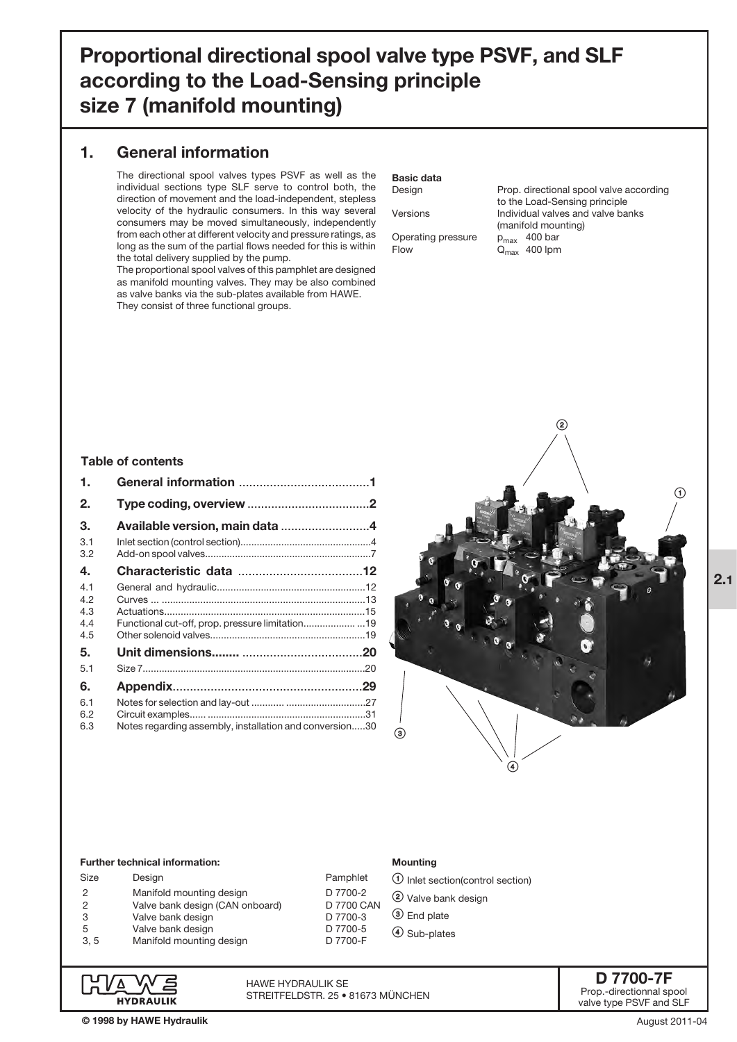# Proportional directional spool valve type PSVF, and SLF according to the Load-Sensing principle size 7 (manifold mounting)

### 1. General information

The directional spool valves types PSVF as well as the individual sections type SLF serve to control both, the direction of movement and the load-independent, stepless velocity of the hydraulic consumers. In this way several consumers may be moved simultaneously, independently from each other at different velocity and pressure ratings, as long as the sum of the partial flows needed for this is within the total delivery supplied by the pump.

The proportional spool valves of this pamphlet are designed as manifold mounting valves. They may be also combined as valve banks via the sub-plates available from HAWE. They consist of three functional groups.

# Basic data

Design Prop. directional spool valve according to the Load-Sensing principle Versions Individual valves and valve banks (manifold mounting) Operating pressure  $p_{\text{max}}$  400 bar<br>Flow  $Q_{\text{max}}$  400 lpm  $Q<sub>max</sub>$  400 lpm

### Table of contents

| 1.                              |                                                         |  |
|---------------------------------|---------------------------------------------------------|--|
| 2.                              |                                                         |  |
| З.                              | Available version, main data 4                          |  |
| 3.1<br>3.2                      |                                                         |  |
| 4.                              |                                                         |  |
| 4.1<br>4.2<br>4.3<br>4.4<br>4.5 |                                                         |  |
| 5.                              |                                                         |  |
| 5.1                             |                                                         |  |
| 6.                              |                                                         |  |
| 6.1<br>6.2<br>6.3               | Notes regarding assembly, installation and conversion30 |  |



#### Further technical information:

| Design                          |
|---------------------------------|
| Manifold mounting design        |
| Valve bank design (CAN onboard) |
| Valve bank design               |
| Valve bank design               |
| Manifold mounting design        |
|                                 |

### Mounting

- $\circledR$  Inlet section(control section)
- 2 Valve bank design
- **3** End plate
- > Sub-plates



HAWE Hydraulik SE STREITFELDSTR. 25 • 81673 MÜNCHEN

Pamphlet D 7700-2 D 7700 CAN D 7700-3 D 7700-5 D 7700-F

> D 7700-7F Prop.-directionnal spool valve type PSVF and SLF

2.1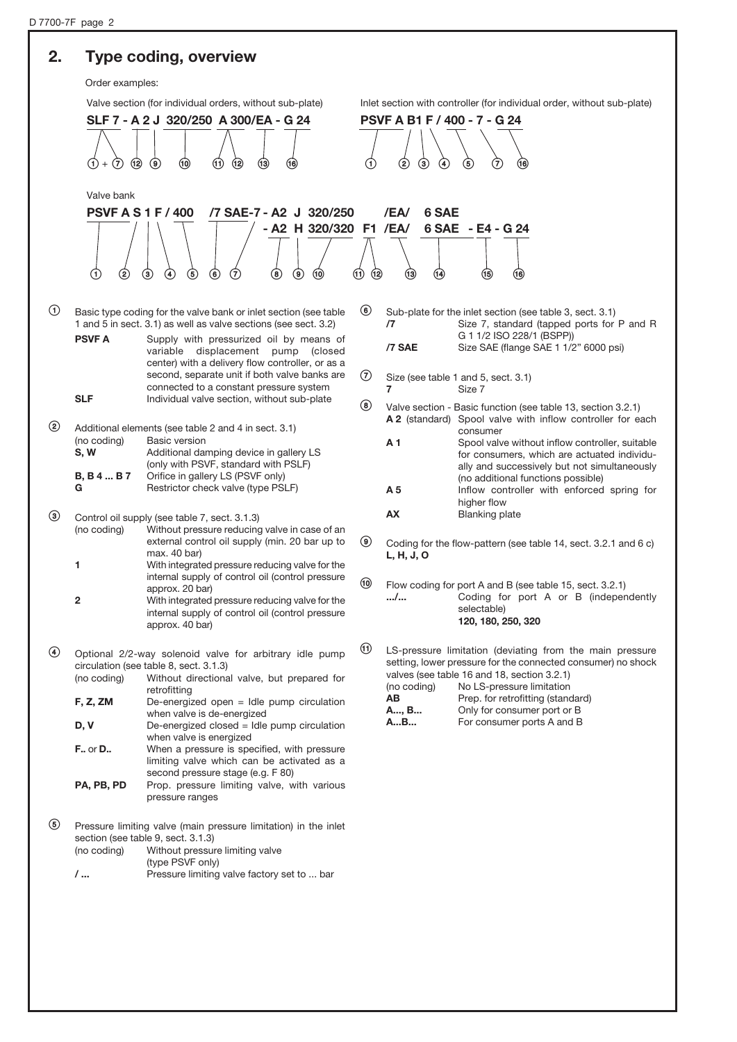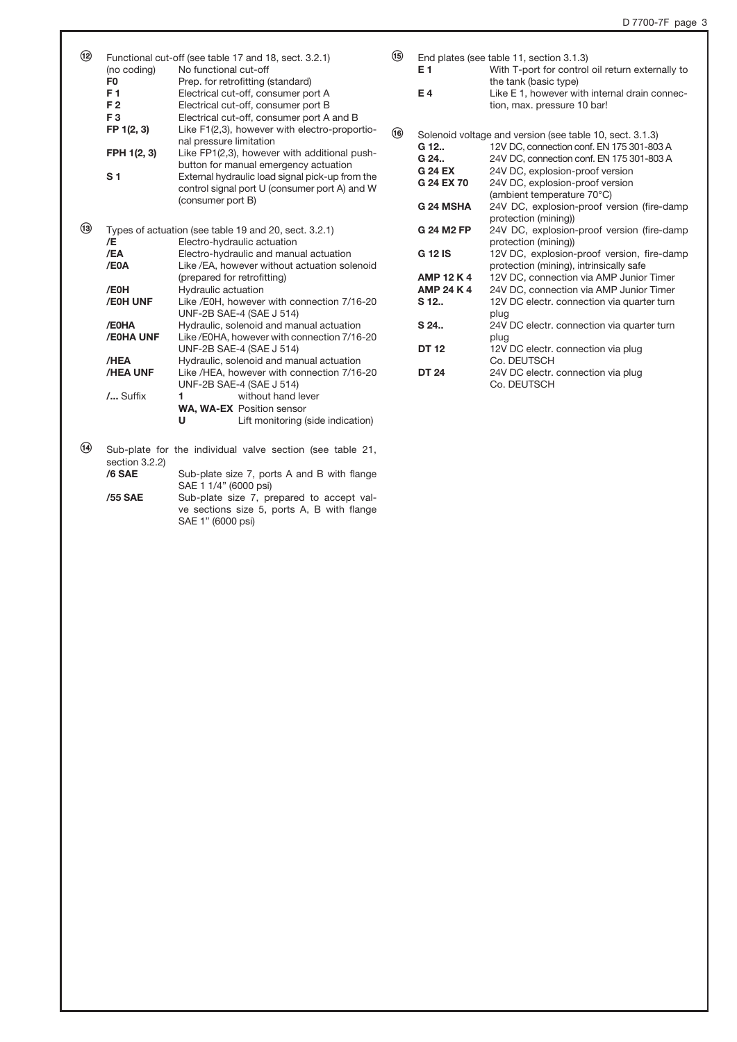| $\circledR$ | (no coding)    | Functional cut-off (see table 17 and 18, sect. 3.2.1)<br>No functional cut-off | $\circledR$    | E <sub>1</sub>    | End plates (see table 11, section 3.1.3)<br>With T-port for control oil return externally to |
|-------------|----------------|--------------------------------------------------------------------------------|----------------|-------------------|----------------------------------------------------------------------------------------------|
|             | F <sub>0</sub> | Prep. for retrofitting (standard)                                              |                |                   | the tank (basic type)                                                                        |
|             | F <sub>1</sub> | Electrical cut-off, consumer port A                                            |                | E4                | Like E 1, however with internal drain connec-                                                |
|             | F <sub>2</sub> | Electrical cut-off, consumer port B                                            |                |                   | tion, max. pressure 10 bar!                                                                  |
|             | F <sub>3</sub> | Electrical cut-off, consumer port A and B                                      |                |                   |                                                                                              |
|             | FP 1(2, 3)     | Like F1(2,3), however with electro-proportio-                                  | $\circledcirc$ |                   |                                                                                              |
|             |                | nal pressure limitation                                                        |                |                   | Solenoid voltage and version (see table 10, sect. 3.1.3)                                     |
|             | FPH 1(2, 3)    | Like FP1(2,3), however with additional push-                                   |                | G 12              | 12V DC, connection conf. EN 175 301-803 A                                                    |
|             |                | button for manual emergency actuation                                          |                | G 24              | 24V DC, connection conf. EN 175 301-803 A                                                    |
|             | S <sub>1</sub> | External hydraulic load signal pick-up from the                                |                | <b>G 24 EX</b>    | 24V DC, explosion-proof version                                                              |
|             |                | control signal port U (consumer port A) and W                                  |                | G 24 EX 70        | 24V DC, explosion-proof version                                                              |
|             |                | (consumer port B)                                                              |                |                   | (ambient temperature 70°C)                                                                   |
|             |                |                                                                                |                | G 24 MSHA         | 24V DC, explosion-proof version (fire-damp                                                   |
|             |                |                                                                                |                |                   | protection (mining))                                                                         |
| $\circledR$ |                | Types of actuation (see table 19 and 20, sect. 3.2.1)                          |                | <b>G 24 M2 FP</b> | 24V DC, explosion-proof version (fire-damp                                                   |
|             | /E             | Electro-hydraulic actuation                                                    |                |                   | protection (mining))                                                                         |
|             | /EA            | Electro-hydraulic and manual actuation                                         |                | <b>G 12 IS</b>    | 12V DC, explosion-proof version, fire-damp                                                   |
|             | /E0A           | Like / EA, however without actuation solenoid                                  |                |                   | protection (mining), intrinsically safe                                                      |
|             |                | (prepared for retrofitting)                                                    |                | <b>AMP 12 K 4</b> | 12V DC, connection via AMP Junior Timer                                                      |
|             | /E0H           | Hydraulic actuation                                                            |                | <b>AMP 24 K 4</b> | 24V DC, connection via AMP Junior Timer                                                      |
|             | /E0H UNF       | Like /E0H, however with connection 7/16-20                                     |                | S 12              | 12V DC electr. connection via quarter turn                                                   |
|             |                | UNF-2B SAE-4 (SAE J 514)                                                       |                |                   | plug                                                                                         |
|             | /E0HA          | Hydraulic, solenoid and manual actuation                                       |                | S 24              | 24V DC electr. connection via quarter turn                                                   |
|             | /E0HA UNF      | Like/E0HA, however with connection 7/16-20                                     |                |                   | plug                                                                                         |
|             |                | UNF-2B SAE-4 (SAE J 514)                                                       |                | <b>DT 12</b>      | 12V DC electr. connection via plug                                                           |
|             | /HEA           | Hydraulic, solenoid and manual actuation                                       |                |                   | Co. DEUTSCH                                                                                  |
|             | /HEA UNF       | Like /HEA, however with connection 7/16-20                                     |                | <b>DT 24</b>      | 24V DC electr. connection via plug                                                           |
|             |                | UNF-2B SAE-4 (SAE J 514)                                                       |                |                   | Co. DEUTSCH                                                                                  |
|             | / Suffix       | 1<br>without hand lever                                                        |                |                   |                                                                                              |
|             |                | <b>WA, WA-EX Position sensor</b>                                               |                |                   |                                                                                              |
|             |                | U<br>Lift monitoring (side indication)                                         |                |                   |                                                                                              |
|             |                |                                                                                |                |                   |                                                                                              |
| $\bigcirc$  |                | Sub-plate for the individual valve section (see table 21,                      |                |                   |                                                                                              |

section  $3.2.2$ )<br>/6 SAE **/6 SAE** Sub-plate size 7, ports A and B with flange SAE 1 1/4" (6000 psi)

/55 SAE Sub-plate size 7, prepared to accept valve sections size 5, ports A, B with flange SAE 1" (6000 psi)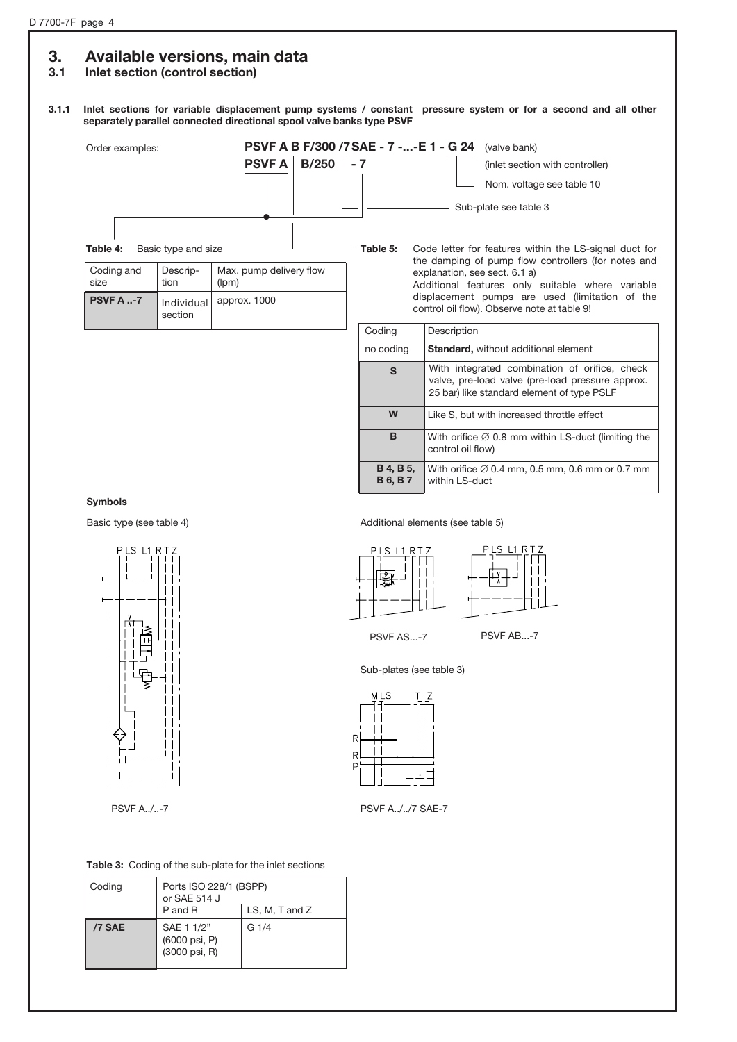### 3. Available versions, main data

### 3.1 Inlet section (control section)

### 3.1.1 Inlet sections for variable displacement pump systems / constant pressure system or for a second and all other separately parallel connected directional spool valve banks type PSVF



### Symbols



PSVF A../..-7





within LS-duct



B 6, B 7

PSVF AS...-7 PSVF AB...-7

Sub-plates (see table 3)



PSVF A../../7 SAE-7

Table 3: Coding of the sub-plate for the inlet sections

| Coding | Ports ISO 228/1 (BSPP)<br>or SAE 514 J<br>LS, M, T and Z<br>P and R |      |
|--------|---------------------------------------------------------------------|------|
| /7 SAE | SAE 1 1/2"<br>(6000 psi, P)<br>(3000 psi, R)                        | G1/4 |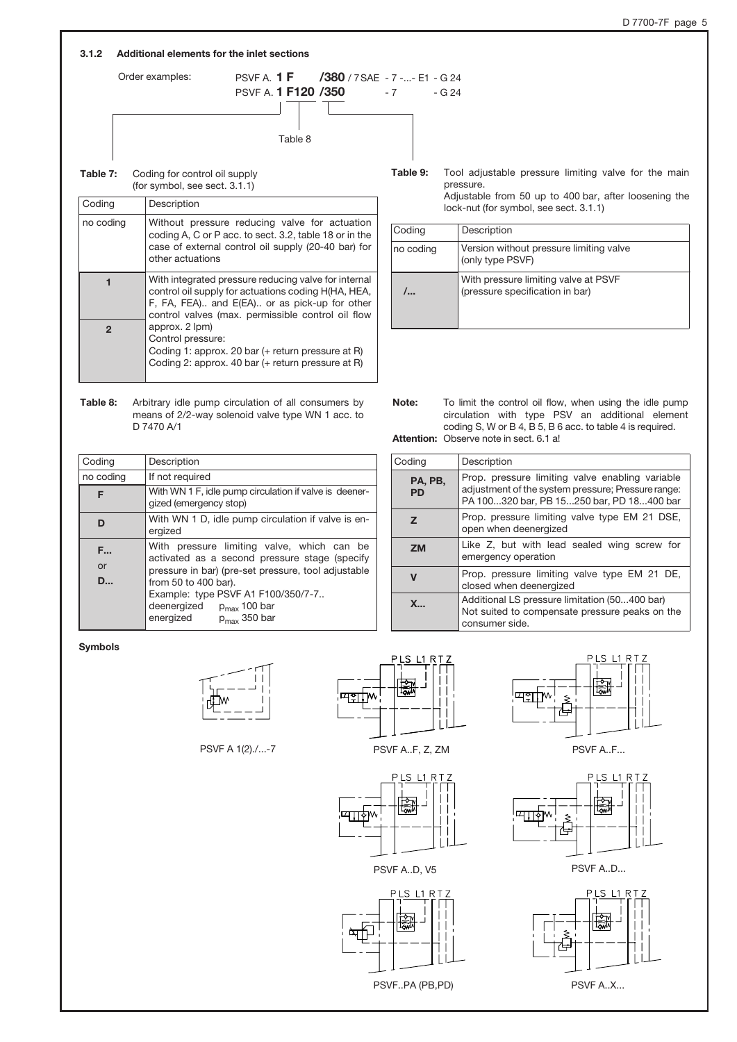### 3.1.2 Additional elements for the inlet sections



| Table 7: | Coding for control oil supply    |
|----------|----------------------------------|
|          | (for symbol, see sect. $3.1.1$ ) |

| Coding       | Description                                                                                                                                                                                                       |
|--------------|-------------------------------------------------------------------------------------------------------------------------------------------------------------------------------------------------------------------|
| no coding    | Without pressure reducing valve for actuation<br>coding A, C or P acc. to sect. 3.2, table 18 or in the<br>case of external control oil supply (20-40 bar) for<br>other actuations                                |
|              | With integrated pressure reducing valve for internal<br>control oil supply for actuations coding H(HA, HEA,<br>F, FA, FEA) and E(EA) or as pick-up for other<br>control valves (max. permissible control oil flow |
| $\mathbf{c}$ | approx. 2 lpm)<br>Control pressure:<br>Coding 1: approx. 20 bar (+ return pressure at R)<br>Coding 2: approx. 40 bar (+ return pressure at R)                                                                     |

Table 9: Tool adjustable pressure limiting valve for the main pressure. Adjustable from 50 up to 400 bar, after loosening the

| lock-nut (for symbol, see sect. 3.1.1) |                                                                         |  |  |
|----------------------------------------|-------------------------------------------------------------------------|--|--|
| Coding                                 | Description                                                             |  |  |
| no coding                              | Version without pressure limiting valve<br>(only type PSVF)             |  |  |
| /                                      | With pressure limiting valve at PSVF<br>(pressure specification in bar) |  |  |

| Table 8: | Arbitrary idle pump circulation of all consumers by |
|----------|-----------------------------------------------------|
|          | means of 2/2-way solenoid valve type WN 1 acc. to   |
|          | D 7470 A/1                                          |

| Coding              | Description                                                                                                                                                                |  |  |
|---------------------|----------------------------------------------------------------------------------------------------------------------------------------------------------------------------|--|--|
| no coding           | If not required                                                                                                                                                            |  |  |
| F                   | With WN 1 F, idle pump circulation if valve is deener-<br>gized (emergency stop)                                                                                           |  |  |
| D                   | With WN 1 D, idle pump circulation if valve is en-<br>ergized                                                                                                              |  |  |
| F<br>or<br><b>D</b> | With pressure limiting valve, which can be<br>activated as a second pressure stage (specify<br>pressure in bar) (pre-set pressure, tool adjustable<br>from 50 to 400 bar). |  |  |
|                     | Example: type PSVF A1 F100/350/7-7<br>deenergized<br>$p_{max}$ 100 bar<br>energized<br>$p_{max}$ 350 bar                                                                   |  |  |

| Note: | To limit the control oil flow, when using the idle pump   |
|-------|-----------------------------------------------------------|
|       | circulation with type PSV an additional element           |
|       | coding S, W or B 4, B 5, B 6 acc. to table 4 is required. |
|       | <b>Attention:</b> Observe note in sect. 6.1 al.           |

| Coding               | Description                                                                                                                                        |
|----------------------|----------------------------------------------------------------------------------------------------------------------------------------------------|
| PA, PB,<br><b>PD</b> | Prop. pressure limiting valve enabling variable<br>adjustment of the system pressure; Pressure range:<br>PA 100320 bar, PB 15250 bar, PD 18400 bar |
| z                    | Prop. pressure limiting valve type EM 21 DSE,<br>open when deenergized                                                                             |
| <b>ZM</b>            | Like Z, but with lead sealed wing screw for<br>emergency operation                                                                                 |
| $\mathbf v$          | Prop. pressure limiting valve type EM 21 DE,<br>closed when deenergized                                                                            |
| $X_{-}$              | Additional LS pressure limitation (50400 bar)<br>Not suited to compensate pressure peaks on the<br>consumer side.                                  |

Symbols



PSVF A 1(2)./...-7



PSVF A..F, Z, ZM



PSVF A..D, V5





PSVF A..F...





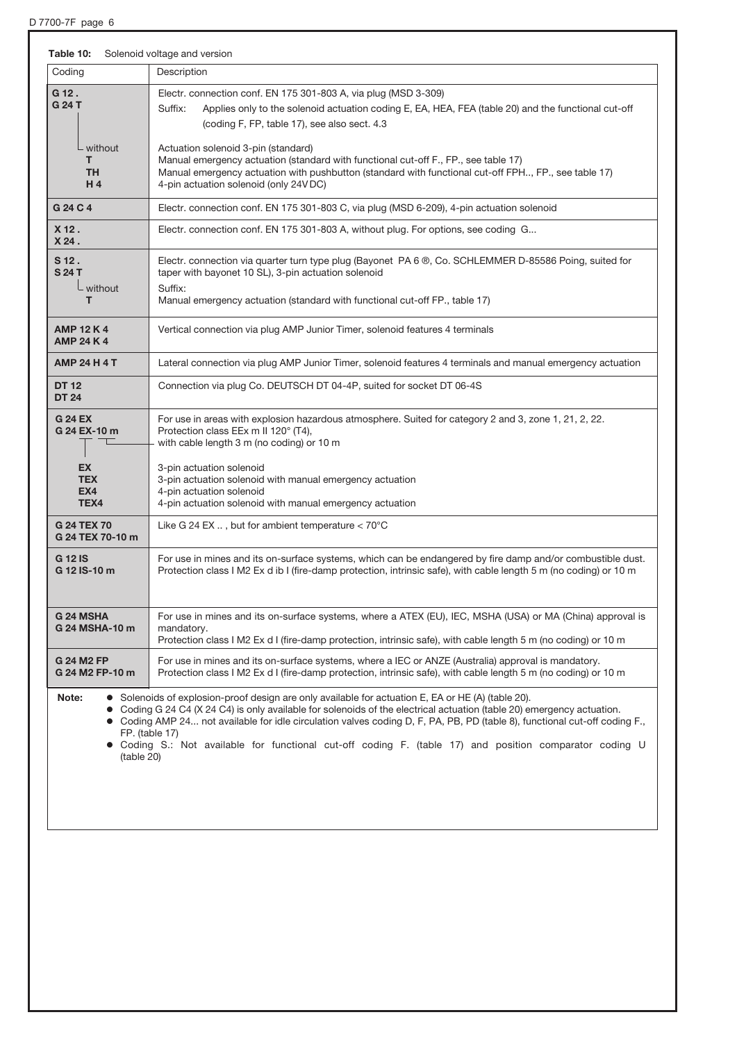D 7700-7F page 6

| Table 10:                                                                | Solenoid voltage and version                                                                                                                                                                                                                                                                                                                                                                                                                                                                                      |
|--------------------------------------------------------------------------|-------------------------------------------------------------------------------------------------------------------------------------------------------------------------------------------------------------------------------------------------------------------------------------------------------------------------------------------------------------------------------------------------------------------------------------------------------------------------------------------------------------------|
| Coding                                                                   | Description                                                                                                                                                                                                                                                                                                                                                                                                                                                                                                       |
| G 12.<br>G 24 T<br>- without<br>T<br><b>TH</b><br>H4                     | Electr. connection conf. EN 175 301-803 A, via plug (MSD 3-309)<br>Suffix:<br>Applies only to the solenoid actuation coding E, EA, HEA, FEA (table 20) and the functional cut-off<br>(coding F, FP, table 17), see also sect. 4.3<br>Actuation solenoid 3-pin (standard)<br>Manual emergency actuation (standard with functional cut-off F., FP., see table 17)<br>Manual emergency actuation with pushbutton (standard with functional cut-off FPH, FP., see table 17)<br>4-pin actuation solenoid (only 24V DC) |
| G 24 C 4                                                                 | Electr. connection conf. EN 175 301-803 C, via plug (MSD 6-209), 4-pin actuation solenoid                                                                                                                                                                                                                                                                                                                                                                                                                         |
| $X$ 12.<br>X24.                                                          | Electr. connection conf. EN 175 301-803 A, without plug. For options, see coding G                                                                                                                                                                                                                                                                                                                                                                                                                                |
| S 12.<br><b>S24T</b><br>L without                                        | Electr. connection via quarter turn type plug (Bayonet PA 6 ®, Co. SCHLEMMER D-85586 Poing, suited for<br>taper with bayonet 10 SL), 3-pin actuation solenoid<br>Suffix:                                                                                                                                                                                                                                                                                                                                          |
| т                                                                        | Manual emergency actuation (standard with functional cut-off FP., table 17)                                                                                                                                                                                                                                                                                                                                                                                                                                       |
| <b>AMP 12 K 4</b><br><b>AMP 24 K 4</b>                                   | Vertical connection via plug AMP Junior Timer, solenoid features 4 terminals                                                                                                                                                                                                                                                                                                                                                                                                                                      |
| <b>AMP 24 H 4 T</b>                                                      | Lateral connection via plug AMP Junior Timer, solenoid features 4 terminals and manual emergency actuation                                                                                                                                                                                                                                                                                                                                                                                                        |
| <b>DT 12</b><br><b>DT 24</b>                                             | Connection via plug Co. DEUTSCH DT 04-4P, suited for socket DT 06-4S                                                                                                                                                                                                                                                                                                                                                                                                                                              |
| <b>G 24 EX</b><br>G 24 EX-10 m<br><b>EX</b><br><b>TEX</b><br>EX4<br>TEX4 | For use in areas with explosion hazardous atmosphere. Suited for category 2 and 3, zone 1, 21, 2, 22.<br>Protection class EEx m II 120° (T4),<br>with cable length 3 m (no coding) or 10 m<br>3-pin actuation solenoid<br>3-pin actuation solenoid with manual emergency actuation<br>4-pin actuation solenoid<br>4-pin actuation solenoid with manual emergency actuation                                                                                                                                        |
| <b>G 24 TEX 70</b><br>G 24 TEX 70-10 m                                   | Like G 24 EX , but for ambient temperature < 70°C                                                                                                                                                                                                                                                                                                                                                                                                                                                                 |
| <b>G 12 IS</b><br>G 12 IS-10 m                                           | For use in mines and its on-surface systems, which can be endangered by fire damp and/or combustible dust.<br>Protection class I M2 Ex d ib I (fire-damp protection, intrinsic safe), with cable length 5 m (no coding) or 10 m                                                                                                                                                                                                                                                                                   |
| <b>G24 MSHA</b><br>G 24 MSHA-10 m                                        | For use in mines and its on-surface systems, where a ATEX (EU), IEC, MSHA (USA) or MA (China) approval is<br>mandatory.<br>Protection class I M2 Ex d I (fire-damp protection, intrinsic safe), with cable length 5 m (no coding) or 10 m                                                                                                                                                                                                                                                                         |
| <b>G 24 M2 FP</b><br>G 24 M2 FP-10 m                                     | For use in mines and its on-surface systems, where a IEC or ANZE (Australia) approval is mandatory.<br>Protection class I M2 Ex d I (fire-damp protection, intrinsic safe), with cable length 5 m (no coding) or 10 m                                                                                                                                                                                                                                                                                             |
| Note:<br>(table 20)                                                      | • Solenoids of explosion-proof design are only available for actuation E, EA or HE (A) (table 20).<br>Coding G 24 C4 (X 24 C4) is only available for solenoids of the electrical actuation (table 20) emergency actuation.<br>• Coding AMP 24 not available for idle circulation valves coding D, F, PA, PB, PD (table 8), functional cut-off coding F.,<br>FP. (table 17)<br>• Coding S.: Not available for functional cut-off coding F. (table 17) and position comparator coding U                             |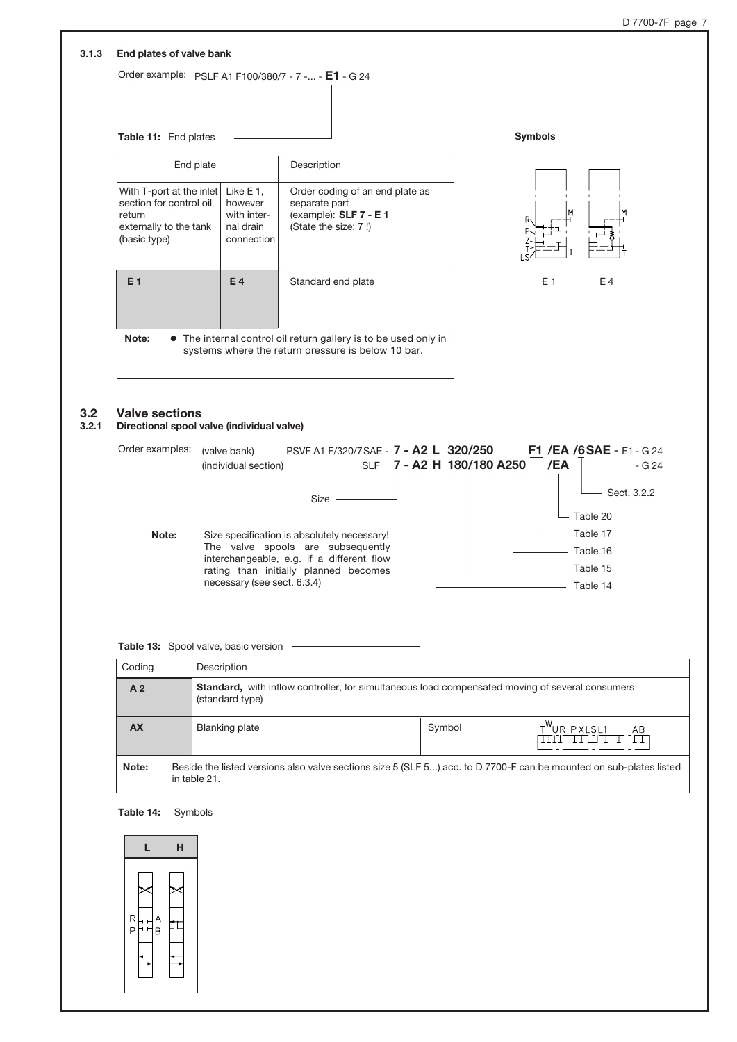|                                                                                                         | Table 11: End plates                                           |                                                                                                                                                                                  | <b>Symbols</b>                                                                                                     |
|---------------------------------------------------------------------------------------------------------|----------------------------------------------------------------|----------------------------------------------------------------------------------------------------------------------------------------------------------------------------------|--------------------------------------------------------------------------------------------------------------------|
| End plate                                                                                               |                                                                | Description                                                                                                                                                                      |                                                                                                                    |
| With T-port at the inlet<br>section for control oil<br>return<br>externally to the tank<br>(basic type) | Like E 1,<br>however<br>with inter-<br>nal drain<br>connection | Order coding of an end plate as<br>separate part<br>(example): SLF 7 - E1<br>(State the size: 7!)                                                                                |                                                                                                                    |
| E <sub>1</sub>                                                                                          | E4                                                             | Standard end plate                                                                                                                                                               | E 1<br>E 4                                                                                                         |
| Note:                                                                                                   |                                                                | • The internal control oil return gallery is to be used only in<br>systems where the return pressure is below 10 bar.                                                            |                                                                                                                    |
|                                                                                                         |                                                                |                                                                                                                                                                                  | /EA<br>SLF 7 - A2 H 180/180 A250<br>- G 24                                                                         |
| Note:                                                                                                   | necessary (see sect. 6.3.4)                                    | Size -<br>Size specification is absolutely necessary!<br>The valve spools are subsequently<br>interchangeable, e.g. if a different flow<br>rating than initially planned becomes | Sect. 3.2.2<br>Table 20<br>Table 17<br>Table 16<br>Table 15<br>Table 14                                            |
| Table 13: Spool valve, basic version                                                                    |                                                                |                                                                                                                                                                                  |                                                                                                                    |
| Coding                                                                                                  | Description                                                    |                                                                                                                                                                                  |                                                                                                                    |
| A <sub>2</sub>                                                                                          | (standard type)                                                |                                                                                                                                                                                  | Standard, with inflow controller, for simultaneous load compensated moving of several consumers                    |
| <b>AX</b>                                                                                               | <b>Blanking plate</b>                                          | Symbol                                                                                                                                                                           | T <sup>W</sup> UR PXLSL1<br>AB<br>والمارور والمراوي<br>TT                                                          |
| Note:<br>in table 21.                                                                                   |                                                                |                                                                                                                                                                                  | Beside the listed versions also valve sections size 5 (SLF 5) acc. to D 7700-F can be mounted on sub-plates listed |

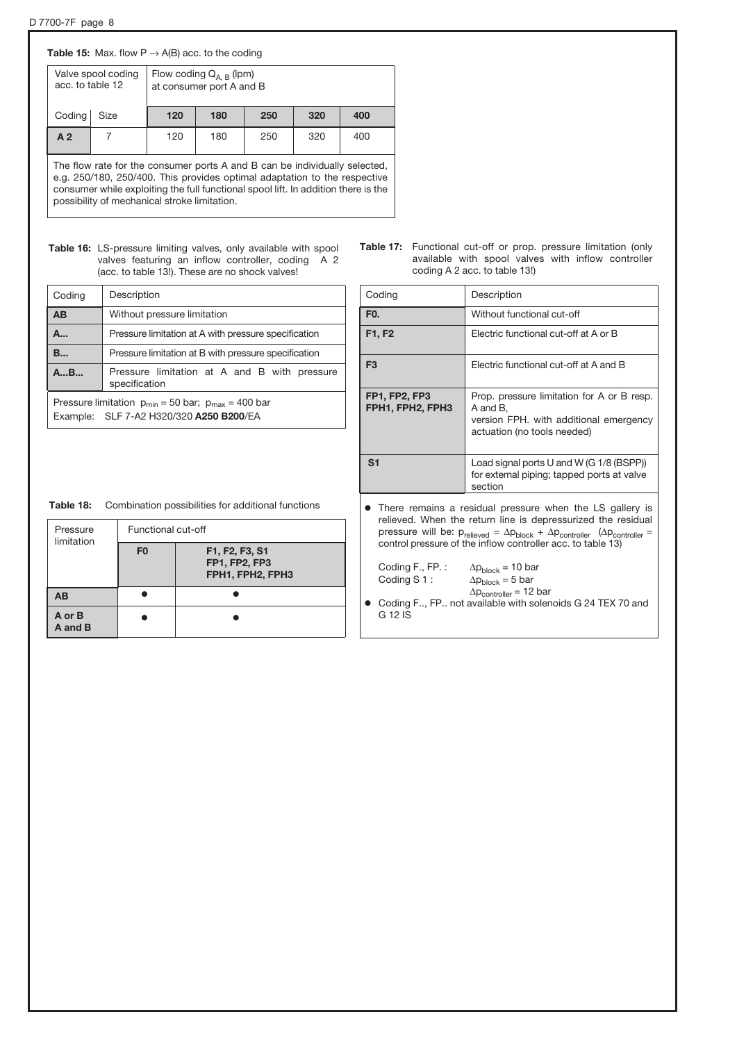### **Table 15:** Max. flow  $P \rightarrow A(B)$  acc. to the coding

| acc. to table 12 | Valve spool coding | Flow coding $Q_{A,B}$ (lpm)<br>at consumer port A and B |     |     |     |     |
|------------------|--------------------|---------------------------------------------------------|-----|-----|-----|-----|
| Coding           | Size               | 120                                                     | 180 | 250 | 320 | 400 |
| A <sub>2</sub>   |                    | 120                                                     | 180 | 250 | 320 | 400 |

The flow rate for the consumer ports A and B can be individually selected, e.g. 250/180, 250/400. This provides optimal adaptation to the respective consumer while exploiting the full functional spool lift. In addition there is the possibility of mechanical stroke limitation.

### Table 16: LS-pressure limiting valves, only available with spool valves featuring an inflow controller, coding A 2 (acc. to table 13!). These are no shock valves!

| Coding   | Description                                                                                            |  |  |  |
|----------|--------------------------------------------------------------------------------------------------------|--|--|--|
| AB       | Without pressure limitation                                                                            |  |  |  |
| A        | Pressure limitation at A with pressure specification                                                   |  |  |  |
| <b>B</b> | Pressure limitation at B with pressure specification                                                   |  |  |  |
| AB       | Pressure limitation at A and B with pressure<br>specification                                          |  |  |  |
|          | Pressure limitation $p_{min} = 50$ bar; $p_{max} = 400$ bar<br>Example: SLF 7-A2 H320/320 A250 B200/EA |  |  |  |

|                               |  |  | <b>Table 17:</b> Functional cut-off or prop. pressure limitation (only |
|-------------------------------|--|--|------------------------------------------------------------------------|
|                               |  |  | available with spool valves with inflow controller                     |
| coding A 2 acc. to table 13!) |  |  |                                                                        |

| Coding                                                                                                                                                                                                                                                                                             | Description                                                                                                                                                                      |  |  |  |  |
|----------------------------------------------------------------------------------------------------------------------------------------------------------------------------------------------------------------------------------------------------------------------------------------------------|----------------------------------------------------------------------------------------------------------------------------------------------------------------------------------|--|--|--|--|
| F <sub>0</sub> .                                                                                                                                                                                                                                                                                   | Without functional cut-off                                                                                                                                                       |  |  |  |  |
| F1, F2                                                                                                                                                                                                                                                                                             | Electric functional cut-off at A or B                                                                                                                                            |  |  |  |  |
| F <sub>3</sub>                                                                                                                                                                                                                                                                                     | Electric functional cut-off at A and B                                                                                                                                           |  |  |  |  |
| <b>FP1, FP2, FP3</b><br>FPH1, FPH2, FPH3                                                                                                                                                                                                                                                           | Prop. pressure limitation for A or B resp.<br>A and B.<br>version FPH. with additional emergency<br>actuation (no tools needed)                                                  |  |  |  |  |
| S <sub>1</sub>                                                                                                                                                                                                                                                                                     | Load signal ports U and W (G 1/8 (BSPP))<br>for external piping; tapped ports at valve<br>section                                                                                |  |  |  |  |
| There remains a residual pressure when the LS gallery is<br>relieved. When the return line is depressurized the residual<br>pressure will be: $p_{relieved} = \Delta p_{block} + \Delta p_{controller}$ ( $\Delta p_{controller} =$<br>control pressure of the inflow controller acc. to table 13) |                                                                                                                                                                                  |  |  |  |  |
| Coding F., FP.:<br>Coding S1:<br>G 12 IS                                                                                                                                                                                                                                                           | $\Delta p_{block} = 10 \text{ bar}$<br>$\Delta p_{block} = 5$ bar<br>$\Delta p_{\text{controller}} = 12 \text{ bar}$<br>Coding F FP not available with solenoids G 24 TEX 70 and |  |  |  |  |

| Table 18: | Combination possibilities for additional functions |
|-----------|----------------------------------------------------|
|-----------|----------------------------------------------------|

| Pressure<br>limitation | Functional cut-off |                                                            |  |
|------------------------|--------------------|------------------------------------------------------------|--|
|                        | F <sub>0</sub>     | F1, F2, F3, S1<br><b>FP1, FP2, FP3</b><br>FPH1, FPH2, FPH3 |  |
| <b>AB</b>              |                    |                                                            |  |
| A or B<br>A and B      |                    |                                                            |  |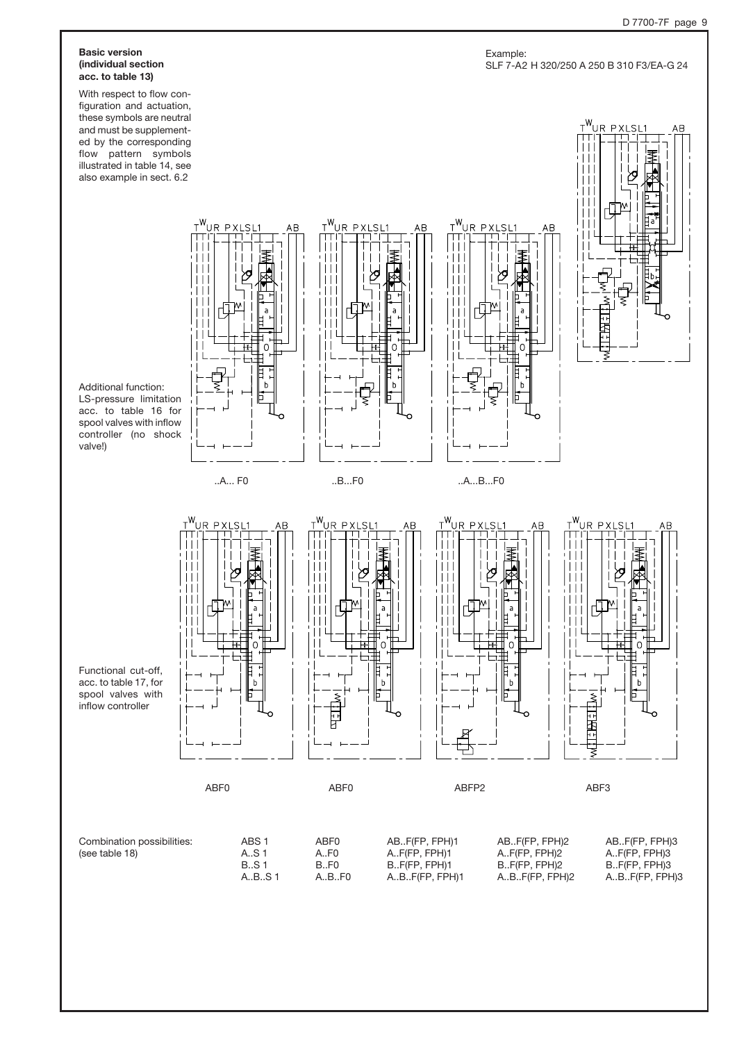#### Basic version (individual section acc. to table 13)

With respect to flow configuration and actuation, these symbols are neutral and must be supplemented by the corresponding flow pattern symbols illustrated in table 14, see also example in sect. 6.2

Additional function: LS-pressure limitation acc. to table 16 for spool valves with inflow controller (no shock valve!)



<u>t<sup>w</sup>ur pxlsl</u>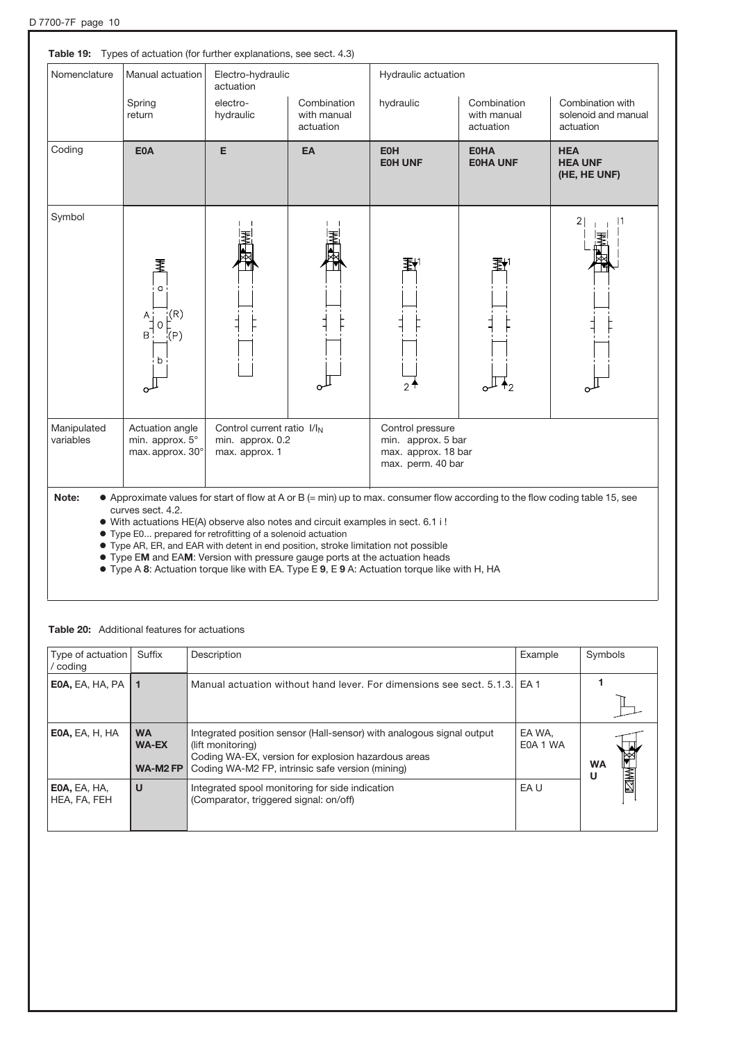| Nomenclature             | Manual actuation                                                                                                                                                                                                                                                                                                                          | Electro-hydraulic<br>actuation                                               |                                         | Hydraulic actuation                                                                                                 |                                         |                                                                                                                              |
|--------------------------|-------------------------------------------------------------------------------------------------------------------------------------------------------------------------------------------------------------------------------------------------------------------------------------------------------------------------------------------|------------------------------------------------------------------------------|-----------------------------------------|---------------------------------------------------------------------------------------------------------------------|-----------------------------------------|------------------------------------------------------------------------------------------------------------------------------|
|                          | Spring<br>return                                                                                                                                                                                                                                                                                                                          | electro-<br>hydraulic                                                        | Combination<br>with manual<br>actuation | hydraulic                                                                                                           | Combination<br>with manual<br>actuation | Combination with<br>solenoid and manual<br>actuation                                                                         |
| Coding                   | <b>E0A</b>                                                                                                                                                                                                                                                                                                                                | E                                                                            | EA                                      | <b>E0H</b><br><b>EOH UNF</b>                                                                                        | <b>E0HA</b><br><b>EOHA UNF</b>          | <b>HEA</b><br><b>HEA UNF</b><br>(HE, HE UNF)                                                                                 |
| Symbol                   | ₹<br>a<br>$\vert(\mathsf{R})\vert$<br>$A_1$<br>O<br>$B^{\mathsf{T}}$<br>$\langle P \rangle$<br>b                                                                                                                                                                                                                                          |                                                                              |                                         | 氡                                                                                                                   |                                         | 2                                                                                                                            |
| Manipulated<br>variables | Actuation angle<br>min. approx. 5°<br>max. approx. 30°                                                                                                                                                                                                                                                                                    | Control current ratio I/I <sub>N</sub><br>min. approx. 0.2<br>max. approx. 1 |                                         | Control pressure<br>min. approx. 5 bar<br>max. approx. 18 bar<br>max. perm. 40 bar                                  |                                         |                                                                                                                              |
| Note:                    | curves sect. 4.2.<br>· With actuations HE(A) observe also notes and circuit examples in sect. 6.1 i !<br>• Type E0 prepared for retrofitting of a solenoid actuation<br>• Type AR, ER, and EAR with detent in end position, stroke limitation not possible<br>• Type EM and EAM: Version with pressure gauge ports at the actuation heads |                                                                              |                                         | $\Gamma$ Type A.O. Actuation terms like with $\Gamma$ A. Type $\Gamma$ O.O. Actuation terms like with $\Pi$ , $\Pi$ |                                         | • Approximate values for start of flow at A or B (= min) up to max. consumer flow according to the flow coding table 15, see |

| $\bullet$ Type A 8: Actuation torque like with EA. Type E 9, E 9 A: Actuation torque like with H, HA |  |  |  |
|------------------------------------------------------------------------------------------------------|--|--|--|

| Type of actuation<br>/ coding | Suffix                                | Description                                                                                                                                                                                           | Example            | Symbols        |
|-------------------------------|---------------------------------------|-------------------------------------------------------------------------------------------------------------------------------------------------------------------------------------------------------|--------------------|----------------|
| <b>EOA, EA, HA, PA</b>        | l 1                                   | Manual actuation without hand lever. For dimensions see sect. 5.1.3. EA 1                                                                                                                             |                    |                |
| EOA, EA, H, HA                | <b>WA</b><br><b>WA-EX</b><br>WA-M2 FP | Integrated position sensor (Hall-sensor) with analogous signal output<br>(lift monitoring)<br>Coding WA-EX, version for explosion hazardous areas<br>Coding WA-M2 FP, intrinsic safe version (mining) | EA WA.<br>E0A 1 WA | <b>WA</b><br>U |
| EOA, EA, HA,<br>HEA, FA, FEH  | U                                     | Integrated spool monitoring for side indication<br>(Comparator, triggered signal: on/off)                                                                                                             | EA U               | <b>NAME</b>    |

### Table 20: Additional features for actuations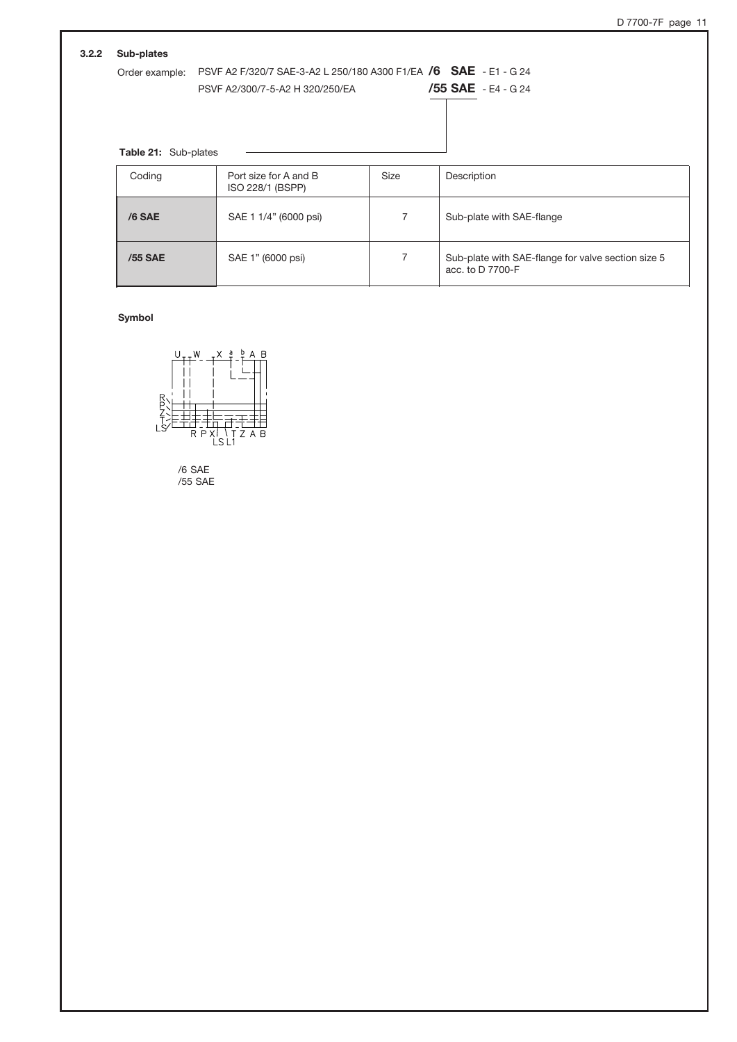| 3.2.2<br>Sub-plates  |                                                                  |             |                                                    |
|----------------------|------------------------------------------------------------------|-------------|----------------------------------------------------|
| Order example:       | PSVF A2 F/320/7 SAE-3-A2 L 250/180 A300 F1/EA /6 SAE - E1 - G 24 |             |                                                    |
|                      | PSVF A2/300/7-5-A2 H 320/250/EA                                  |             | $/55$ SAE - E4 - G 24                              |
|                      |                                                                  |             |                                                    |
|                      |                                                                  |             |                                                    |
| Table 21: Sub-plates |                                                                  |             |                                                    |
| Coding               | Port size for A and B                                            | <b>Size</b> | Description                                        |
|                      | ISO 228/1 (BSPP)                                                 |             |                                                    |
|                      |                                                                  |             |                                                    |
| $/6$ SAE             | SAE 1 1/4" (6000 psi)                                            | 7           | Sub-plate with SAE-flange                          |
|                      |                                                                  |             |                                                    |
|                      |                                                                  |             |                                                    |
| /55 SAE              | SAE 1" (6000 psi)                                                | 7           | Sub-plate with SAE-flange for valve section size 5 |

### Symbol



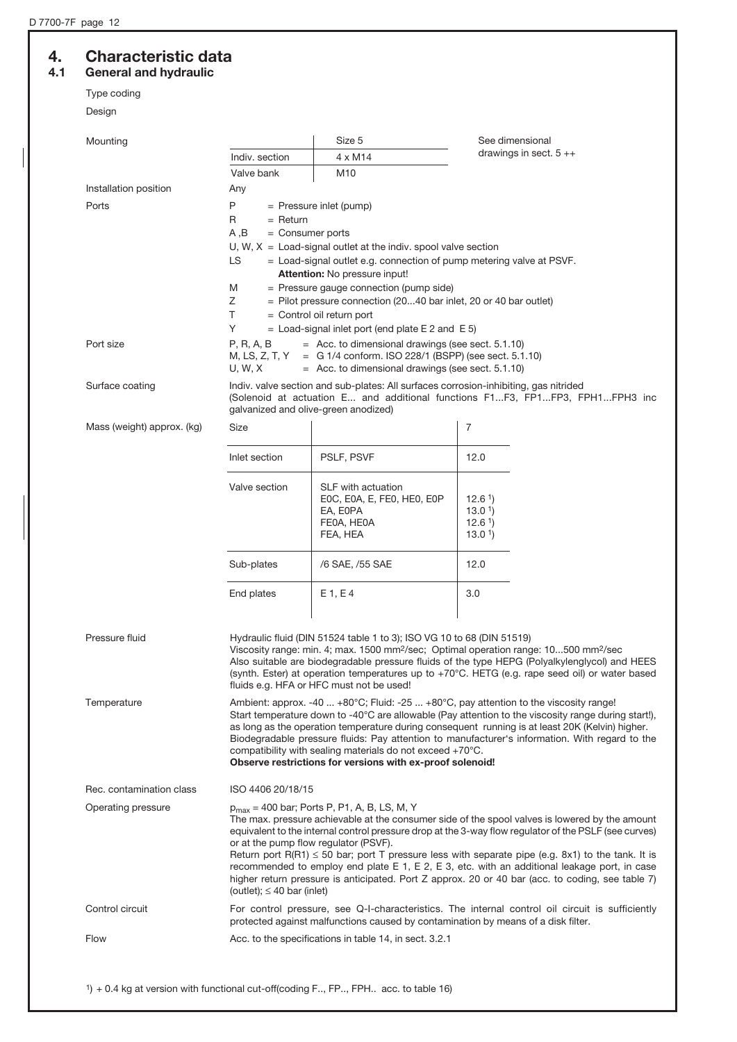# 4. Characteristic data<br>4.1 General and hydraulic

## General and hydraulic

Type coding

| Design                     |                                                                                                                                                                                                                                                                                                                                                                                                                                                                                                                                                                                                   |                                                                                                                                          |                                                                                                                                                                                                                                                                                                                 |  |  |
|----------------------------|---------------------------------------------------------------------------------------------------------------------------------------------------------------------------------------------------------------------------------------------------------------------------------------------------------------------------------------------------------------------------------------------------------------------------------------------------------------------------------------------------------------------------------------------------------------------------------------------------|------------------------------------------------------------------------------------------------------------------------------------------|-----------------------------------------------------------------------------------------------------------------------------------------------------------------------------------------------------------------------------------------------------------------------------------------------------------------|--|--|
| Mounting                   |                                                                                                                                                                                                                                                                                                                                                                                                                                                                                                                                                                                                   | Size 5                                                                                                                                   | See dimensional                                                                                                                                                                                                                                                                                                 |  |  |
|                            | Indiv. section                                                                                                                                                                                                                                                                                                                                                                                                                                                                                                                                                                                    | $4 \times M14$                                                                                                                           | drawings in sect. $5 + +$                                                                                                                                                                                                                                                                                       |  |  |
|                            | Valve bank                                                                                                                                                                                                                                                                                                                                                                                                                                                                                                                                                                                        | M10                                                                                                                                      |                                                                                                                                                                                                                                                                                                                 |  |  |
| Installation position      | Any                                                                                                                                                                                                                                                                                                                                                                                                                                                                                                                                                                                               |                                                                                                                                          |                                                                                                                                                                                                                                                                                                                 |  |  |
| Ports                      | P                                                                                                                                                                                                                                                                                                                                                                                                                                                                                                                                                                                                 | = Pressure inlet (pump)                                                                                                                  |                                                                                                                                                                                                                                                                                                                 |  |  |
|                            | R<br>$=$ Return                                                                                                                                                                                                                                                                                                                                                                                                                                                                                                                                                                                   |                                                                                                                                          |                                                                                                                                                                                                                                                                                                                 |  |  |
|                            | A,B<br>$=$ Consumer ports                                                                                                                                                                                                                                                                                                                                                                                                                                                                                                                                                                         |                                                                                                                                          |                                                                                                                                                                                                                                                                                                                 |  |  |
|                            | LS                                                                                                                                                                                                                                                                                                                                                                                                                                                                                                                                                                                                | U, W, $X =$ Load-signal outlet at the indiv. spool valve section<br>= Load-signal outlet e.g. connection of pump metering valve at PSVF. |                                                                                                                                                                                                                                                                                                                 |  |  |
|                            |                                                                                                                                                                                                                                                                                                                                                                                                                                                                                                                                                                                                   | Attention: No pressure input!                                                                                                            |                                                                                                                                                                                                                                                                                                                 |  |  |
|                            | M                                                                                                                                                                                                                                                                                                                                                                                                                                                                                                                                                                                                 | = Pressure gauge connection (pump side)                                                                                                  |                                                                                                                                                                                                                                                                                                                 |  |  |
|                            | Ζ<br>T.                                                                                                                                                                                                                                                                                                                                                                                                                                                                                                                                                                                           | = Pilot pressure connection (2040 bar inlet, 20 or 40 bar outlet)                                                                        |                                                                                                                                                                                                                                                                                                                 |  |  |
|                            | Y                                                                                                                                                                                                                                                                                                                                                                                                                                                                                                                                                                                                 | $=$ Control oil return port<br>$=$ Load-signal inlet port (end plate E 2 and E 5)                                                        |                                                                                                                                                                                                                                                                                                                 |  |  |
| Port size                  | P, R, A, B                                                                                                                                                                                                                                                                                                                                                                                                                                                                                                                                                                                        | $=$ Acc. to dimensional drawings (see sect. 5.1.10)                                                                                      |                                                                                                                                                                                                                                                                                                                 |  |  |
|                            | M, LS, Z, T, Y<br>U, W, X                                                                                                                                                                                                                                                                                                                                                                                                                                                                                                                                                                         | = G 1/4 conform. ISO 228/1 (BSPP) (see sect. 5.1.10)<br>$=$ Acc. to dimensional drawings (see sect. 5.1.10)                              |                                                                                                                                                                                                                                                                                                                 |  |  |
| Surface coating            | galvanized and olive-green anodized)                                                                                                                                                                                                                                                                                                                                                                                                                                                                                                                                                              | Indiv. valve section and sub-plates: All surfaces corrosion-inhibiting, gas nitrided                                                     | (Solenoid at actuation E and additional functions F1F3, FP1FP3, FPH1FPH3 inc                                                                                                                                                                                                                                    |  |  |
| Mass (weight) approx. (kg) | Size                                                                                                                                                                                                                                                                                                                                                                                                                                                                                                                                                                                              |                                                                                                                                          | 7                                                                                                                                                                                                                                                                                                               |  |  |
|                            | Inlet section                                                                                                                                                                                                                                                                                                                                                                                                                                                                                                                                                                                     | PSLF, PSVF                                                                                                                               | 12.0                                                                                                                                                                                                                                                                                                            |  |  |
|                            | Valve section                                                                                                                                                                                                                                                                                                                                                                                                                                                                                                                                                                                     | SLF with actuation                                                                                                                       |                                                                                                                                                                                                                                                                                                                 |  |  |
|                            |                                                                                                                                                                                                                                                                                                                                                                                                                                                                                                                                                                                                   | EOC, EOA, E, FEO, HEO, EOP<br>EA, E0PA                                                                                                   | 12.6 <sup>1</sup><br>13.01                                                                                                                                                                                                                                                                                      |  |  |
|                            |                                                                                                                                                                                                                                                                                                                                                                                                                                                                                                                                                                                                   | FE0A, HE0A                                                                                                                               | 12.61                                                                                                                                                                                                                                                                                                           |  |  |
|                            |                                                                                                                                                                                                                                                                                                                                                                                                                                                                                                                                                                                                   | FEA, HEA                                                                                                                                 | 13.0 <sup>1</sup>                                                                                                                                                                                                                                                                                               |  |  |
|                            | Sub-plates                                                                                                                                                                                                                                                                                                                                                                                                                                                                                                                                                                                        | /6 SAE, /55 SAE                                                                                                                          | 12.0                                                                                                                                                                                                                                                                                                            |  |  |
|                            | End plates                                                                                                                                                                                                                                                                                                                                                                                                                                                                                                                                                                                        | E1, E4                                                                                                                                   | 3.0                                                                                                                                                                                                                                                                                                             |  |  |
| Pressure fluid             |                                                                                                                                                                                                                                                                                                                                                                                                                                                                                                                                                                                                   | Hydraulic fluid (DIN 51524 table 1 to 3); ISO VG 10 to 68 (DIN 51519)<br>fluids e.g. HFA or HFC must not be used!                        | Viscosity range: min. 4; max. 1500 mm <sup>2</sup> /sec; Optimal operation range: 10500 mm <sup>2</sup> /sec<br>Also suitable are biodegradable pressure fluids of the type HEPG (Polyalkylenglycol) and HEES<br>(synth. Ester) at operation temperatures up to +70°C. HETG (e.g. rape seed oil) or water based |  |  |
| Temperature                | Ambient: approx. -40  +80°C; Fluid: -25  +80°C, pay attention to the viscosity range!<br>Start temperature down to -40°C are allowable (Pay attention to the viscosity range during start!),<br>as long as the operation temperature during consequent running is at least 20K (Kelvin) higher.<br>Biodegradable pressure fluids: Pay attention to manufacturer's information. With regard to the<br>compatibility with sealing materials do not exceed +70°C.<br>Observe restrictions for versions with ex-proof solenoid!                                                                       |                                                                                                                                          |                                                                                                                                                                                                                                                                                                                 |  |  |
| Rec. contamination class   | ISO 4406 20/18/15                                                                                                                                                                                                                                                                                                                                                                                                                                                                                                                                                                                 |                                                                                                                                          |                                                                                                                                                                                                                                                                                                                 |  |  |
| Operating pressure         |                                                                                                                                                                                                                                                                                                                                                                                                                                                                                                                                                                                                   | $p_{max}$ = 400 bar; Ports P, P1, A, B, LS, M, Y                                                                                         |                                                                                                                                                                                                                                                                                                                 |  |  |
|                            | The max, pressure achievable at the consumer side of the spool valves is lowered by the amount<br>equivalent to the internal control pressure drop at the 3-way flow regulator of the PSLF (see curves)<br>or at the pump flow regulator (PSVF).<br>Return port R(R1) $\leq$ 50 bar; port T pressure less with separate pipe (e.g. 8x1) to the tank. It is<br>recommended to employ end plate E 1, E 2, E 3, etc. with an additional leakage port, in case<br>higher return pressure is anticipated. Port Z approx. 20 or 40 bar (acc. to coding, see table 7)<br>(outlet); $\leq 40$ bar (inlet) |                                                                                                                                          |                                                                                                                                                                                                                                                                                                                 |  |  |
| Control circuit            |                                                                                                                                                                                                                                                                                                                                                                                                                                                                                                                                                                                                   | protected against malfunctions caused by contamination by means of a disk filter.                                                        | For control pressure, see Q-I-characteristics. The internal control oil circuit is sufficiently                                                                                                                                                                                                                 |  |  |
| Flow                       | Acc. to the specifications in table 14, in sect. 3.2.1                                                                                                                                                                                                                                                                                                                                                                                                                                                                                                                                            |                                                                                                                                          |                                                                                                                                                                                                                                                                                                                 |  |  |

1) + 0.4 kg at version with functional cut-off(coding F.., FP.., FPH.. acc. to table 16)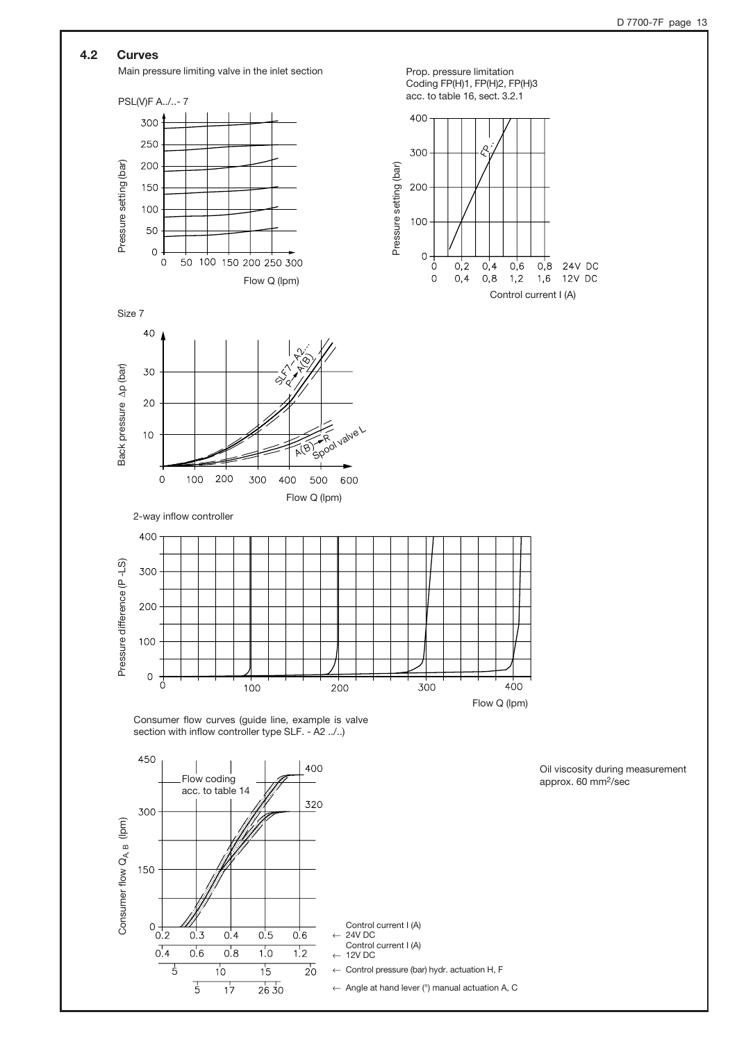### 4.2 Curves

Main pressure limiting valve in the inlet section Prop. pressure limitation





Size 7





Consumer flow curves (guide line, example is valve section with inflow controller type SLF. - A2 ../..)

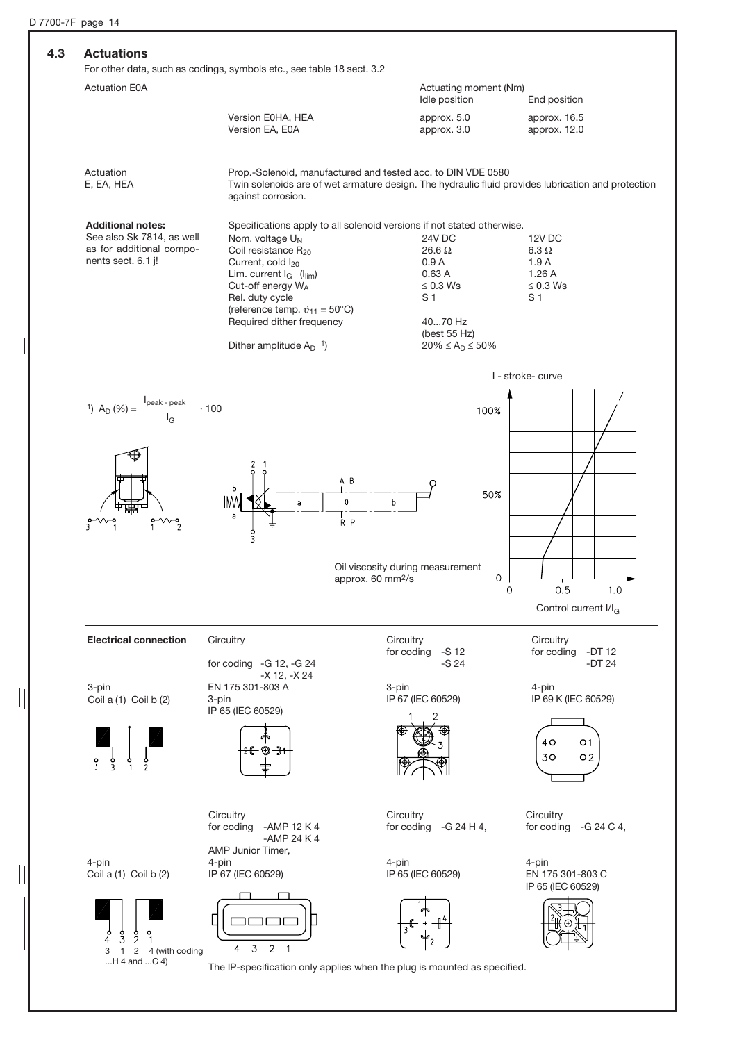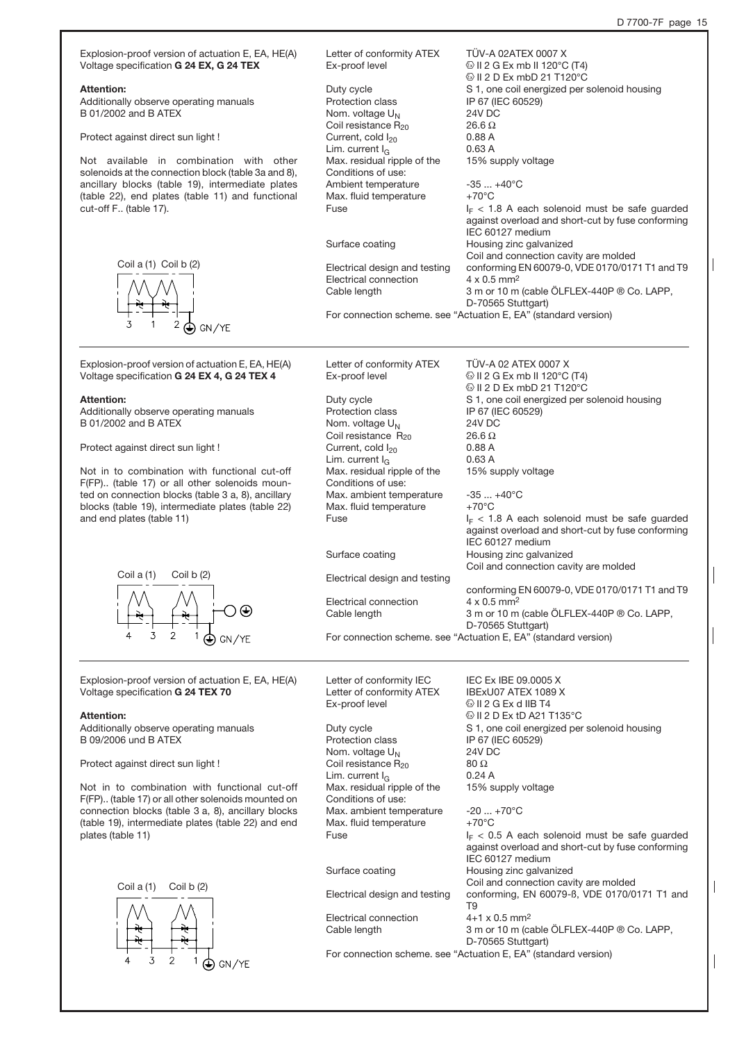Letter of conformity ATEX TÜV-A 02ATEX 0007 X Explosion-proof version of actuation E, EA, HE(A) Voltage specification G 24 EX, G 24 TEX Ex-proof level  $\bigcirc$  II 2 G Ex mb II 120 $\circ$ C (T4)  $\textcircled{\tiny{\textcircled{\tiny{1}}}}$  II 2 D Ex mbD 21 T120 $\textcirc$ C Attention: Duty cycle <br>
S 1, one coil energized per solenoid housing<br>
Protection class<br>
Protection class Additionally observe operating manuals IP 67 (IEC 60529) B 01/2002 and B ATEX Nom. voltage  $U_N$  24V DC<br>Coil resistance R<sub>20</sub> 26.6  $\Omega$ Coil resistance  $R_{20}$ Protect against direct sun light ! Current, cold  $I_{20}$  0.88 A<br>Lim. current  $I_{\odot}$  0.63 A Lim. current  $I_G$   $\overline{O}$  0.63 A<br>Max. residual ripple of the 15% supply voltage Max. residual ripple of the Not available in combination with other solenoids at the connection block (table 3a and 8), Conditions of use: ancillary blocks (table 19), intermediate plates Ambient temperature -35 ... +40°C (table 22), end plates (table 11) and functional Max. fluid temperature  $+70^{\circ}$ C Fuse  $I_F < 1.8$  A each solenoid must be safe guarded cut-off F.. (table 17). against overload and short-cut by fuse conforming IEC 60127 medium Surface coating **Housing zinc galvanized** Coil and connection cavity are molded Coil a (1) Coil b (2) Electrical design and testing conforming EN 60079-0, VDE 0170/0171 T1 and T9 Electrical connection  $4 \times 0.5$  mm<sup>2</sup><br>Cable length  $3 \text{ m or } 10 \text{ m}$ 3 m or 10 m (cable ÖLFLEX-440P ® Co. LAPP, D-70565 Stuttgart) For connection scheme. see "Actuation E, EA" (standard version) GN/YE Explosion-proof version of actuation E, EA, HE(A) Letter of conformity ATEX TÜV-A 02 ATEX 0007 X<br>Ex-proof level  $\bigcirc$  II 2 G Ex mb II 120°C Voltage specification G 24 EX 4, G 24 TEX 4  $\textcircled{\scriptsize{1}}$  II 2 G Ex mb II 120°C (T4)  $@$  II 2 D Ex mbD 21 T120 $°C$ Duty cycle S 1, one coil energized per solenoid housing Attention: Additionally observe operating manuals Protection class IP 67 (IEC 60529) B 01/2002 and B ATEX Nom. voltage  $U_N$  24V DC<br>Coil resistance Bay 26.6 Q Coil resistance  $R_{20}$  26.6  $\Omega$ <br>Current, cold  $I_{20}$  0.88 A Protect against direct sun light ! Current, cold  $I_{20}$  0.88 A<br>
Lim. current  $I_{\odot}$  0.63 A Lim. current  $I_G$   $\sim$  0.63 A<br>Max. residual ripple of the 15% supply voltage Not in to combination with functional cut-off Max. residual ripple of the F(FP).. (table 17) or all other solenoids moun-Conditions of use: ted on connection blocks (table 3 a, 8), ancillary Max. ambient temperature  $-35...+40^{\circ}$ C<br>Max. fluid temperature  $+70^{\circ}$ C blocks (table 19), intermediate plates (table 22) Max. fluid temperature Fuse  $I_F < 1.8$  A each solenoid must be safe guarded and end plates (table 11) against overload and short-cut by fuse conforming IEC 60127 medium Surface coating **Housing zinc galvanized** Coil and connection cavity are molded Coil a (1) Coil b (2) Electrical design and testing conforming EN 60079-0, VDE 0170/0171 T1 and T9 Electrical connection  $4 \times 0.5$  mm<sup>2</sup> Cable length 3 m or 10 m (cable ÖLFLEX-440P ® Co. LAPP, D-70565 Stuttgart) For connection scheme. see "Actuation E, EA" (standard version) Letter of conformity IEC IEC Ex IBE 09.0005 X<br>Letter of conformity ATEX IBExU07 ATEX 1089 X Explosion-proof version of actuation E, EA, HE(A) Letter of conformity ATEX Voltage specification G 24 TEX 70 Ex-proof level  $\bigcirc$  II 2 G Ex d IIB T4 O II 2 D Ex tD A21 T135°C Attention: Additionally observe operating manuals Duty cycle <br>
S 1, one coil energized per solenoid housing<br>
Protection class<br>
Protection class B 09/2006 und B ATEX IP 67 (IEC 60529) Nom. voltage  $U_N$  24V DC<br>Coil resistance R<sub>20</sub> 80  $\Omega$ Protect against direct sun light ! Coil resistance  $R_{20}$ Lim. current  $I_G$  0.24 A<br>Max. residual ripple of the 15% supply voltage Max. residual ripple of the Not in to combination with functional cut-off F(FP).. (table 17) or all other solenoids mounted on Conditions of use: connection blocks (table 3 a, 8), ancillary blocks Max. ambient temperature -20 ... +70°C (table 19), intermediate plates (table 22) and end Max. fluid temperature  $+70^{\circ}$ C Fuse  $I_F < 0.5$  A each solenoid must be safe guarded plates (table 11) against overload and short-cut by fuse conforming IEC 60127 medium Surface coating **Housing zinc galvanized** Coil and connection cavity are molded Coil a (1) Coil b (2)Electrical design and testing conforming, EN 60079-ß, VDE 0170/0171 T1 and T9 Electrical connection 4+1 x 0.5 mm2 Cable length 3 m or 10 m (cable ÖLFLEX-440P ® Co. LAPP,

For connection scheme. see "Actuation E, EA" (standard version)

GN/YE

D-70565 Stuttgart)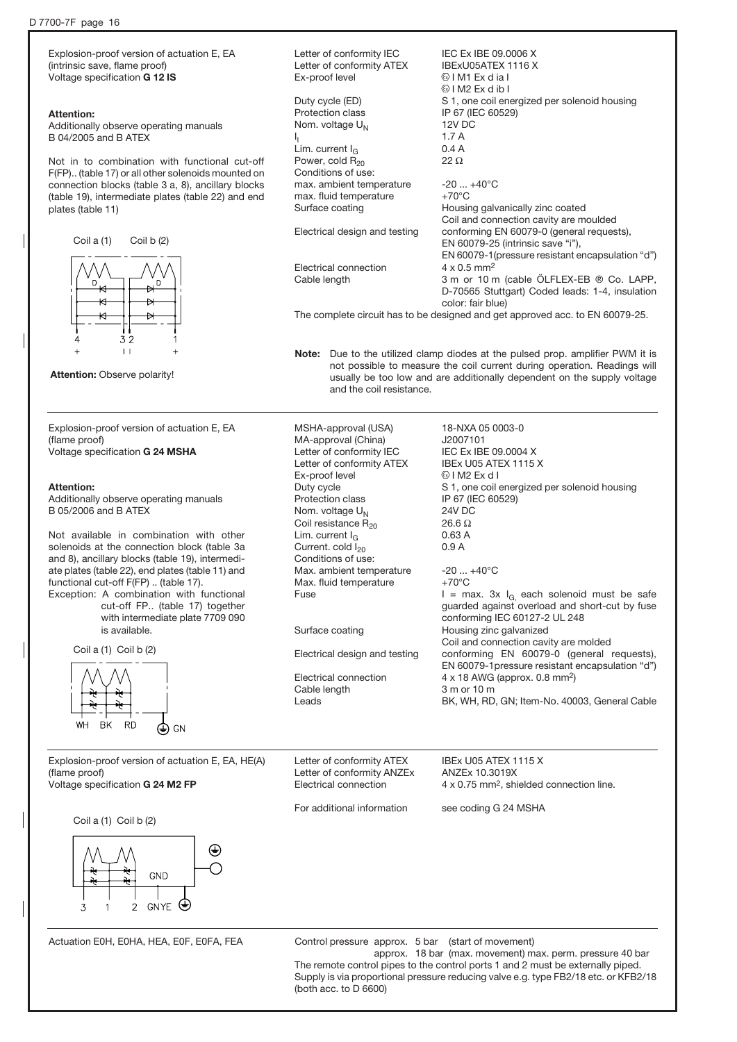Explosion-proof version of actuation E, EA (intrinsic save, flame proof) Voltage specification G 12 IS

#### Attention:

Additionally observe operating manuals B 04/2005 and B ATEX

Not in to combination with functional cut-off F(FP).. (table 17) or all other solenoids mounted on connection blocks (table 3 a, 8), ancillary blocks (table 19), intermediate plates (table 22) and end plates (table 11)





Explosion-proof version of actuation E, EA (flame proof) Voltage specification G 24 MSHA

#### Attention:

Additionally observe operating manuals B 05/2006 and B ATEX

Not available in combination with other solenoids at the connection block (table 3a and 8), ancillary blocks (table 19), intermediate plates (table 22), end plates (table 11) and functional cut-off F(FP) .. (table 17). Exception: A combination with functional

cut-off FP.. (table 17) together with intermediate plate 7709 090 is available.

Coil a (1) Coil b (2)



Explosion-proof version of actuation E, EA, HE(A) (flame proof) Voltage specification G 24 M2 FP

Coil a (1) Coil b (2)



Actuation E0H, E0HA, HEA, E0F, E0FA, FEA

Letter of conformity IEC IEC Ex IBE 09.0006 X Letter of conformity ATEX IBExU05ATEX 1116 X<br>Ex-proof level  $\bigcirc$  IM1 Ex d ia l **Ex dia I**  $\textcircled{k}$  I M2 Ex d ib I Duty cycle (ED) S 1, one coil energized per solenoid housing Protection class IP 67 (IEC 60529) Nom. voltage  $U_N$  12V DC<br>
1. 1.7 A  $I_1$  1.7 A Lim. current  $I_G$  0.4 A<br>Power. cold  $R_{20}$  22  $\Omega$ Power, cold  $R_{20}$ Conditions of use: max. ambient temperature  $-20 ... +40^{\circ}C$ <br>max. fluid temperature  $+70^{\circ}C$ max. fluid temperature Surface coating **Example 20** Housing galvanically zinc coated Coil and connection cavity are moulded Electrical design and testing conforming EN 60079-0 (general requests), EN 60079-25 (intrinsic save "i"), EN 60079-1(pressure resistant encapsulation "d") Electrical connection 4 x 0.5 mm<sup>2</sup> Cable length 3 m or 10 m (cable ÖLFLEX-EB ® Co. LAPP, D-70565 Stuttgart) Coded leads: 1-4, insulation color: fair blue) The complete circuit has to be designed and get approved acc. to EN 60079-25.

Note: Due to the utilized clamp diodes at the pulsed prop. amplifier PWM it is not possible to measure the coil current during operation. Readings will usually be too low and are additionally dependent on the supply voltage and the coil resistance.

MSHA-approval (USA) 18-NXA 05 0003-0 MA-approval (China) J2007101 Letter of conformity IEC IEC Ex IBE 09.0004 X Letter of conformity ATEX IBEx U05 ATEX 1115 X Ex-proof level  $\bigcirc$  I M2 Ex d I Duty cycle S 1, one coil energized per solenoid housing Protection class IP 67 (IEC 60529) Nom. voltage  $U_N$  24V DC<br>Coil resistance R<sub>20</sub> 26.6 Ω Coil resistance  $R_{20}$  26.6  $\Omega$ <br>
Lim. current  $I_2$  0.63 A Lim. current  $I_G$  0.63 A Current cold  $I_{\text{eq}}$  0.9 A Current. cold  $I_{20}$ Conditions of use: Max. ambient temperature -20 ... +40°C Max. fluid temperature  $+70^{\circ}$ C Fuse  $I = \max. 3x I_{G_1}$  each solenoid must be safe guarded against overload and short-cut by fuse conforming IEC 60127-2 UL 248 Surface coating **Housing zinc galvanized** Coil and connection cavity are molded Electrical design and testing conforming EN 60079-0 (general requests), EN 60079-1pressure resistant encapsulation "d") Electrical connection 4 x 18 AWG (approx. 0.8 mm<sup>2</sup>) Cable length 3 m or 10 m Leads BK, WH, RD, GN; Item-No. 40003, General Cable

Letter of conformity ATEX **IBEX U05 ATEX 1115 X** Letter of conformity ANZEx ANZEx 10.3019X

Electrical connection 4 x 0.75 mm<sup>2</sup>, shielded connection line.

For additional information see coding G 24 MSHA

Control pressure approx. 5 bar (start of movement) approx. 18 bar (max. movement) max. perm. pressure 40 bar The remote control pipes to the control ports 1 and 2 must be externally piped. Supply is via proportional pressure reducing valve e.g. type FB2/18 etc. or KFB2/18 (both acc. to D 6600)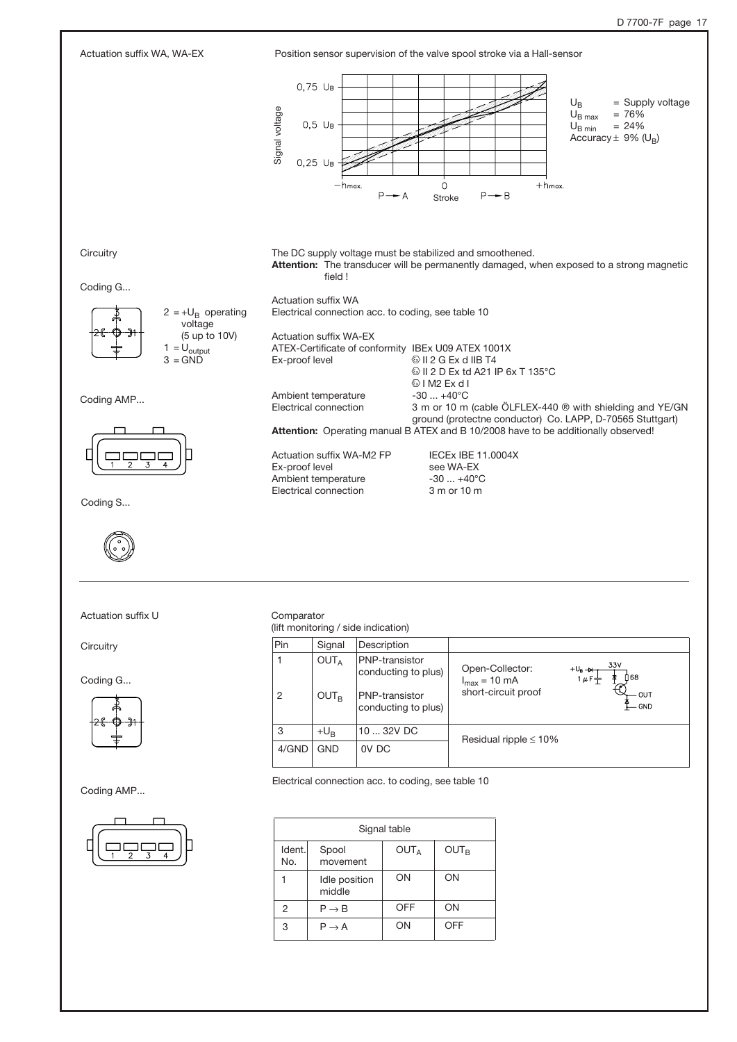

Actuation suffix U Comparator

**Circuitry** 

Coding G...

![](_page_16_Figure_5.jpeg)

Coding AMP...

![](_page_16_Figure_7.jpeg)

(lift monitoring / side indication)

| Pin   | Signal                               | Description                                                                           |                                                             |                                                                         |
|-------|--------------------------------------|---------------------------------------------------------------------------------------|-------------------------------------------------------------|-------------------------------------------------------------------------|
| 2     | OUT <sub>A</sub><br>OUT <sub>B</sub> | PNP-transistor<br>conducting to plus)<br><b>PNP-transistor</b><br>conducting to plus) | Open-Collector:<br>$I_{max}$ = 10 mA<br>short-circuit proof | 33V<br>$+U_B \rightarrow +$<br>n 68<br>$1 \mu F +$<br>OUT<br><b>GND</b> |
| 3     | $+U_{B}$                             | 10  32V DC                                                                            | Residual ripple $\leq 10\%$                                 |                                                                         |
| 4/GND | <b>GND</b>                           | OV DC                                                                                 |                                                             |                                                                         |

Electrical connection acc. to coding, see table 10

| Signal table  |                         |                  |                  |  |
|---------------|-------------------------|------------------|------------------|--|
| Ident.<br>No. | Spool<br>movement       | OUT <sub>A</sub> | OUT <sub>B</sub> |  |
|               | Idle position<br>middle | ON               | ON               |  |
| 2             | $P \rightarrow B$       | <b>OFF</b>       | ON               |  |
| 3             | $P \rightarrow A$       | ON               | OFF              |  |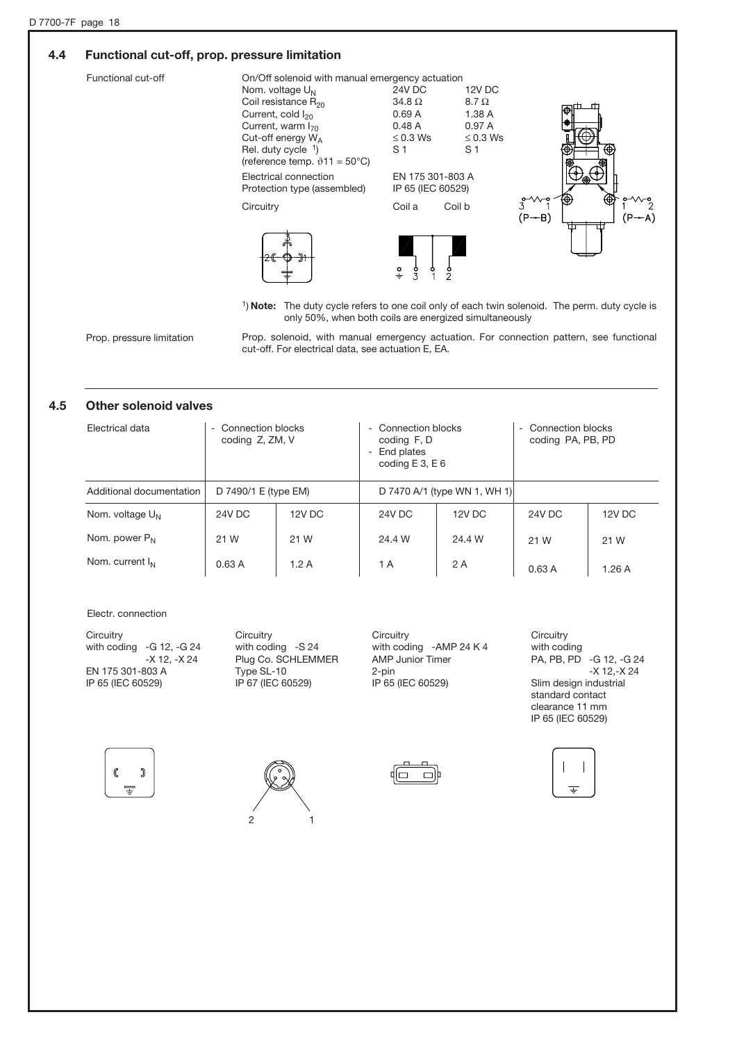### 4.4 Functional cut-off, prop. pressure limitation

| Functional cut-off | On/Off solenoid with manual emergency actuation<br>Nom. voltage $U_N$<br>Coil resistance $R_{20}$<br>Current, cold I <sub>20</sub><br>Current, warm $I_{70}$<br>Cut-off energy $W_A$<br>Rel. duty cycle $1$ )<br>(reference temp. $\vartheta$ 11 = 50°C) | 24V DC<br>12V DC<br>$34.8\ \Omega$<br>$8.7 \Omega$<br>0.69A<br>1.38 A<br>0.97A<br>0.48A<br>$\leq 0.3$ Ws<br>$\leq 0.3$ Ws<br>S <sub>1</sub><br>S <sub>1</sub> |                                                                       |
|--------------------|----------------------------------------------------------------------------------------------------------------------------------------------------------------------------------------------------------------------------------------------------------|---------------------------------------------------------------------------------------------------------------------------------------------------------------|-----------------------------------------------------------------------|
|                    | Electrical connection<br>Protection type (assembled)                                                                                                                                                                                                     | EN 175 301-803 A<br>IP 65 (IEC 60529)                                                                                                                         |                                                                       |
|                    | Circuitry                                                                                                                                                                                                                                                | Coil b<br>Coil a                                                                                                                                              | ↮<br>$3^{\circ\vee\vee}$ <sup>2</sup><br>$\sim$<br>$(P - B)$<br>(P-A) |
|                    |                                                                                                                                                                                                                                                          | $\frac{1}{2}$                                                                                                                                                 |                                                                       |

<sup>1</sup>) Note: The duty cycle refers to one coil only of each twin solenoid. The perm. duty cycle is only 50%, when both coils are energized simultaneously

Prop. pressure limitation

Prop. solenoid, with manual emergency actuation. For connection pattern, see functional cut-off. For electrical data, see actuation E, EA.

### 4.5 Other solenoid valves

| Electrical data          | - Connection blocks<br>coding Z, ZM, V |        | Connection blocks<br>$\sim$<br>coding F, D<br>End plates<br>Ξ.<br>coding $E$ 3, $E$ 6 |        | Connection blocks<br>$\sim$<br>coding PA, PB, PD |        |
|--------------------------|----------------------------------------|--------|---------------------------------------------------------------------------------------|--------|--------------------------------------------------|--------|
| Additional documentation | D 7490/1 E (type EM)                   |        | D 7470 A/1 (type WN 1, WH 1)                                                          |        |                                                  |        |
| Nom. voltage $U_N$       | 24V DC                                 | 12V DC | 24V DC                                                                                | 12V DC | <b>24V DC</b>                                    | 12V DC |
| Nom. power $P_N$         | 21 W                                   | 21 W   | 24.4 W                                                                                | 24.4 W | 21 W                                             | 21 W   |
| Nom. current $I_{N}$     | 0.63A                                  | 1.2A   | 1 A                                                                                   | 2 A    | 0.63A                                            | 1.26A  |

#### Electr. connection

**Circuitry** with coding **Circuitry** with coding -G 12, -G 24 -X 12, -X 24 EN 175 301-803 A IP 65 (IEC 60529) **Circuitry** with coding -S 24 Plug Co. SCHLEMMER Type SL-10 IP 67 (IEC 60529) **Circuitry** with coding -AMP 24 K 4 AMP Junior Timer 2-pin IP 65 (IEC 60529)

PA, PB, PD -G 12, -G 24 -X 12,-X 24 Slim design industrial standard contact clearance 11 mm IP 65 (IEC 60529)

![](_page_17_Figure_11.jpeg)

![](_page_17_Picture_12.jpeg)

![](_page_17_Picture_13.jpeg)

![](_page_17_Picture_14.jpeg)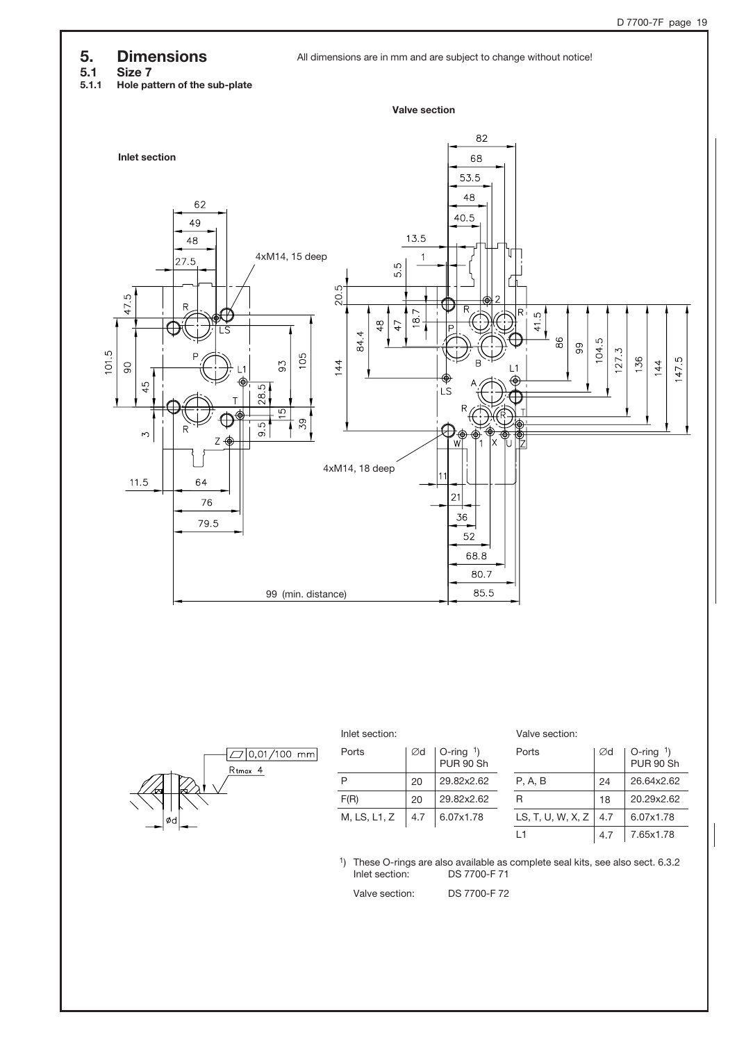### 5. Dimensions

**5.1 Size 7**<br>5.1.1 Hole pa Hole pattern of the sub-plate

![](_page_18_Figure_4.jpeg)

![](_page_18_Figure_5.jpeg)

![](_page_18_Figure_6.jpeg)

![](_page_18_Figure_7.jpeg)

| Ports        | ∅d  | $\vert$ O-ring $\vert$<br>PUR 90 Sh |
|--------------|-----|-------------------------------------|
| P            | 20  | 29.82x2.62                          |
| F(R)         | 20  | 29.82x2.62                          |
| M, LS, L1, Z | 4.7 | 6.07x1.78                           |

| Inlet section: | Valve section: |
|----------------|----------------|
|                |                |

| Ports             | Ød  | $O$ -ring $1)$<br><b>PUR 90 Sh</b> |
|-------------------|-----|------------------------------------|
| P. A. B           | 24  | 26.64x2.62                         |
| R                 | 18  | 20.29x2.62                         |
| LS, T, U, W, X, Z | 4.7 | 6.07x1.78                          |
| l 1               | 4.7 | 7.65x1.78                          |

1) These O-rings are also available as complete seal kits, see also sect. 6.3.2 DS 7700-F 71

Valve section: DS 7700-F 72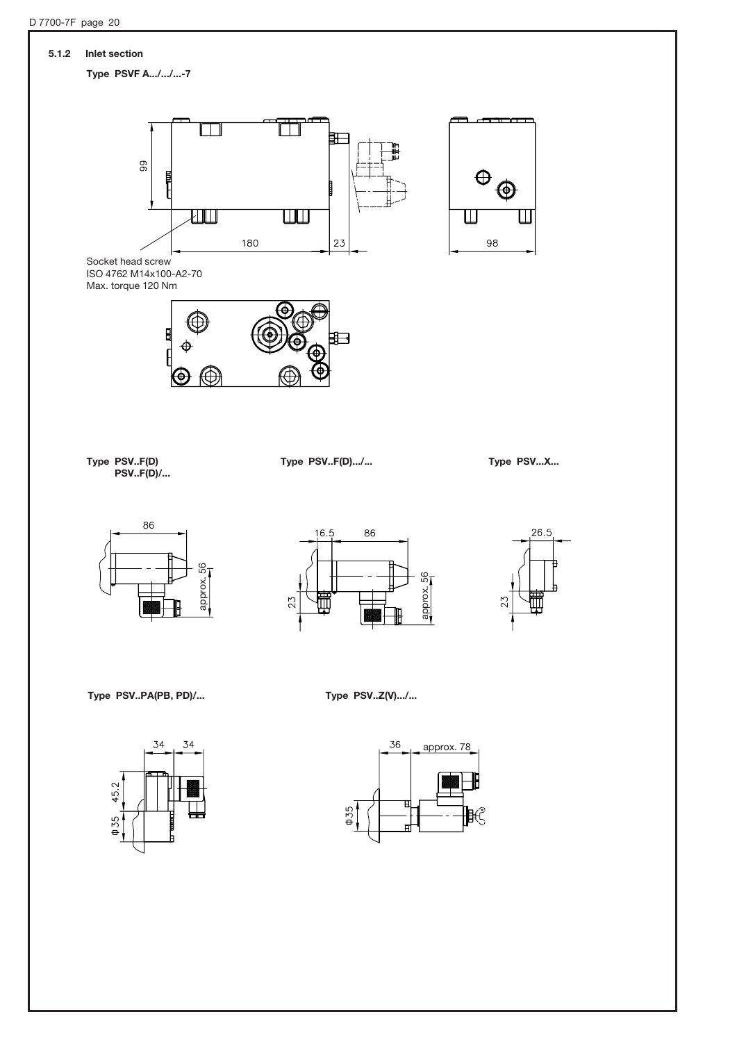![](_page_19_Figure_1.jpeg)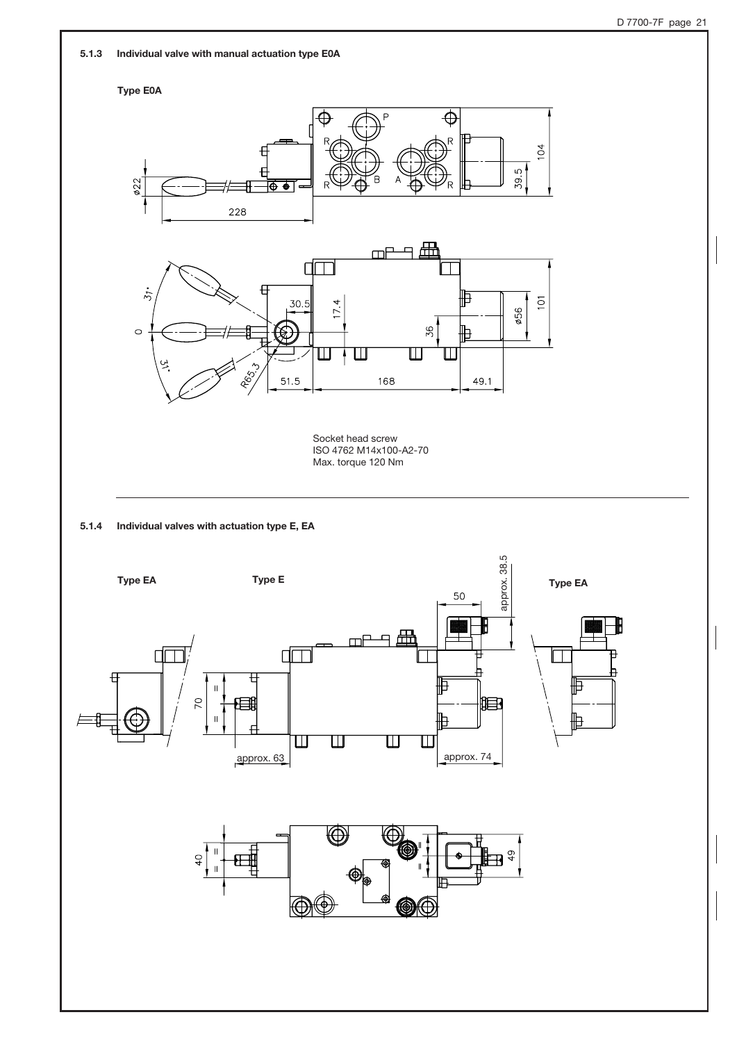5.1.3 Individual valve with manual actuation type E0A

![](_page_20_Figure_2.jpeg)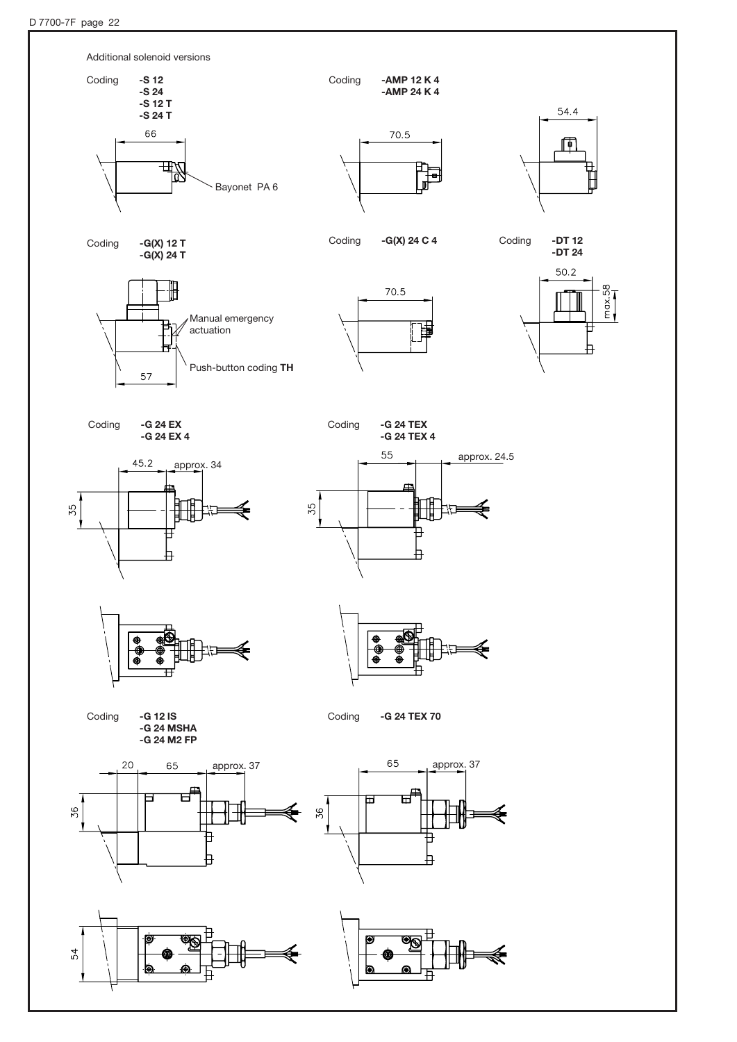![](_page_21_Figure_1.jpeg)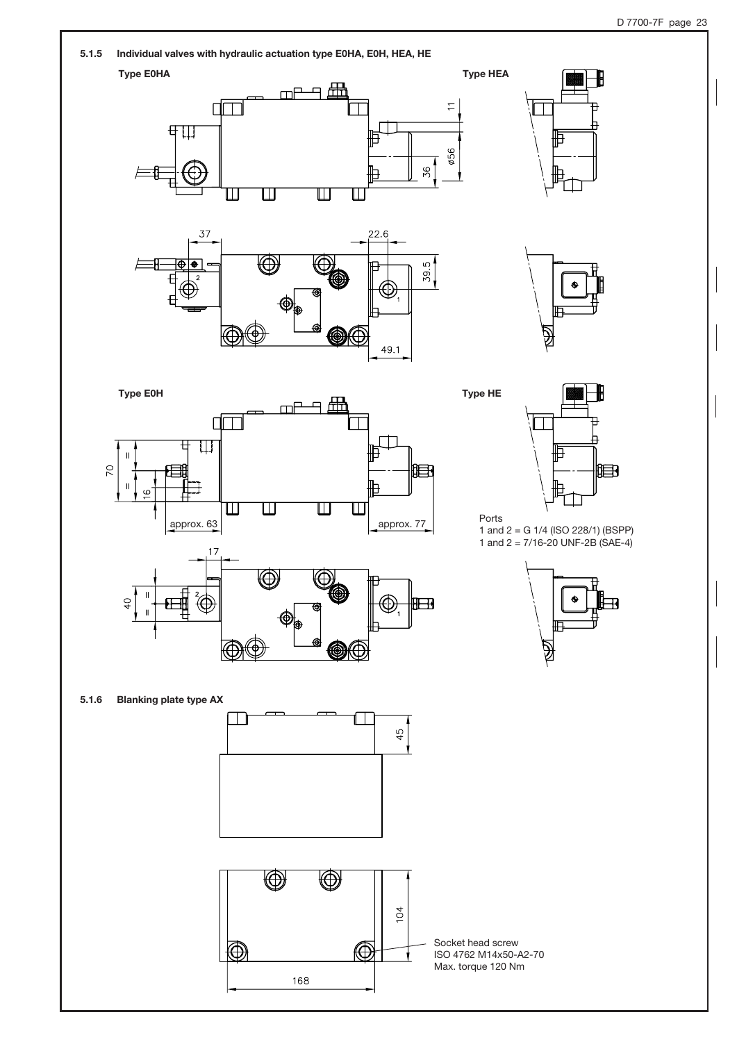![](_page_22_Figure_1.jpeg)

![](_page_22_Figure_3.jpeg)

![](_page_22_Figure_4.jpeg)

![](_page_22_Figure_5.jpeg)

₩

![](_page_22_Figure_6.jpeg)

![](_page_22_Figure_7.jpeg)

Ports 1 and 2 = G 1/4 (ISO 228/1) (BSPP) 1 and 2 = 7/16-20 UNF-2B (SAE-4)

![](_page_22_Figure_9.jpeg)

5.1.6 Blanking plate type AX

![](_page_22_Figure_11.jpeg)

0

![](_page_22_Figure_12.jpeg)

Socket head screw ISO 4762 M14x50-A2-70 Max. torque 120 Nm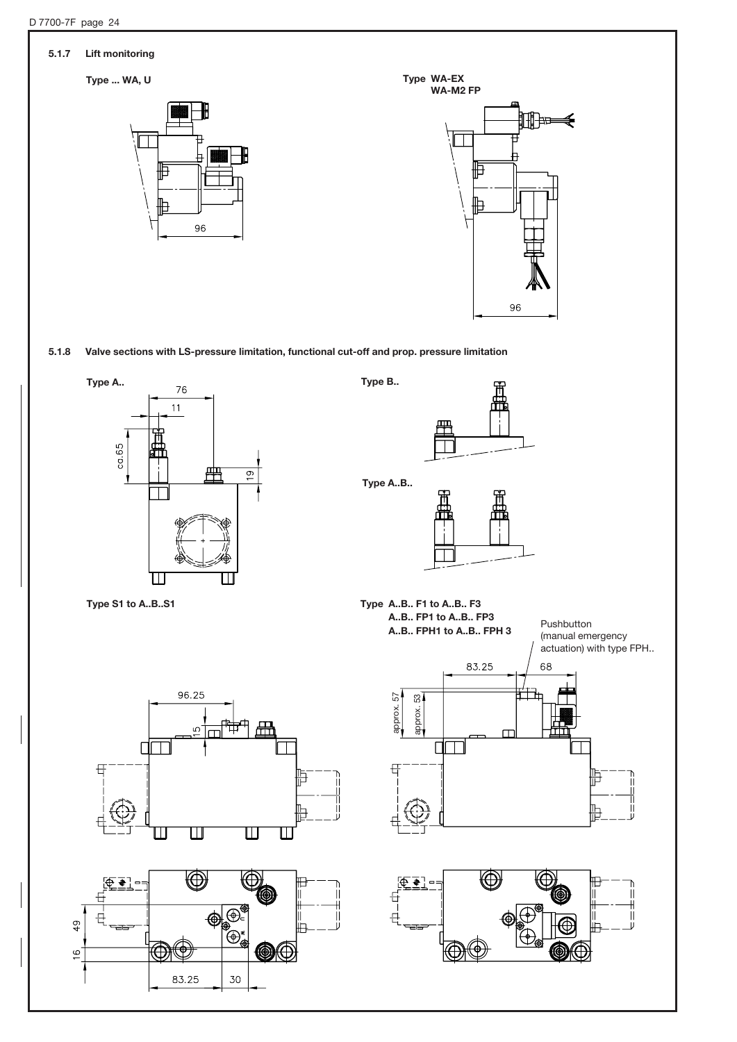![](_page_23_Figure_0.jpeg)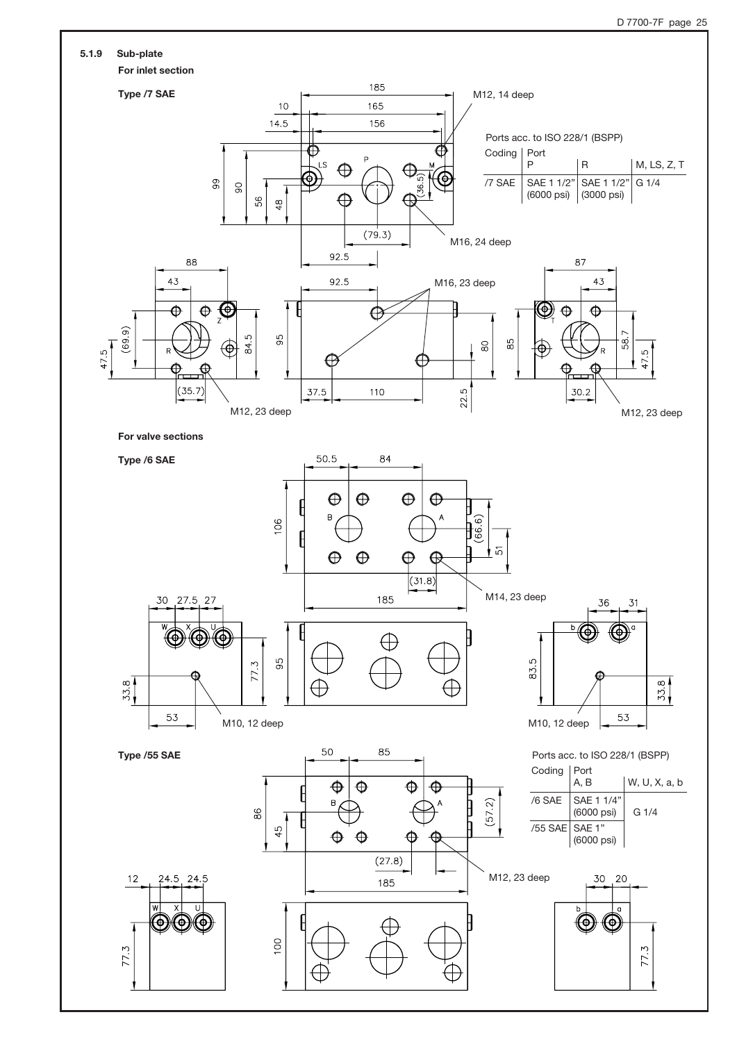![](_page_24_Figure_1.jpeg)

![](_page_24_Figure_2.jpeg)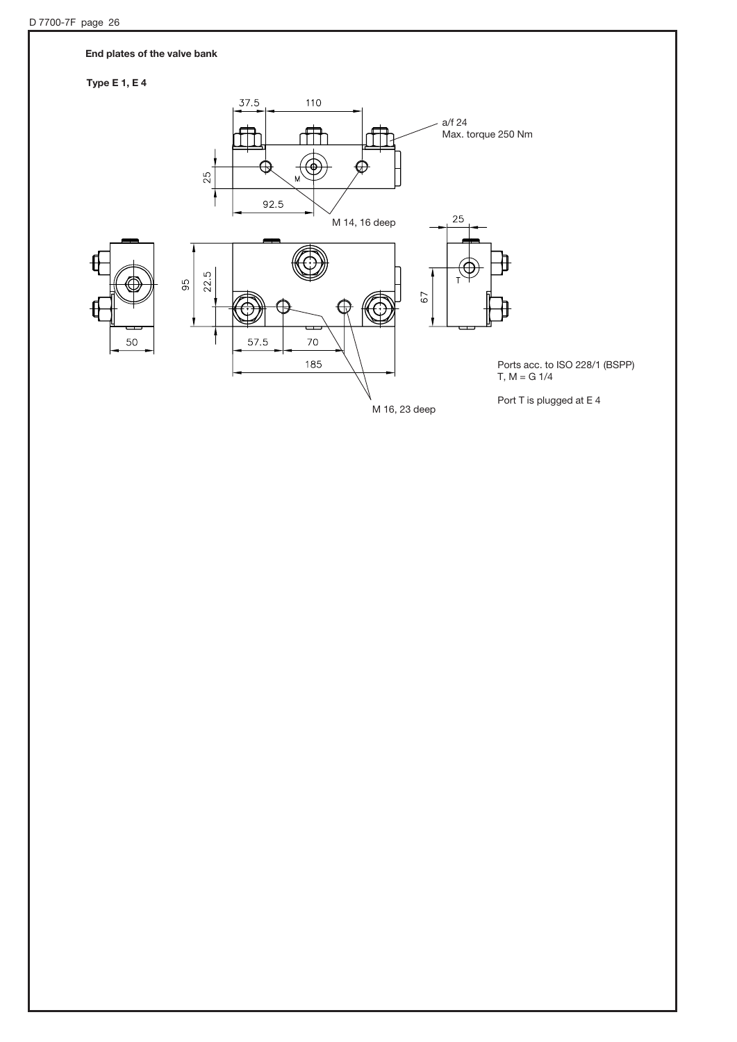### End plates of the valve bank

### Type E 1, E 4

![](_page_25_Figure_3.jpeg)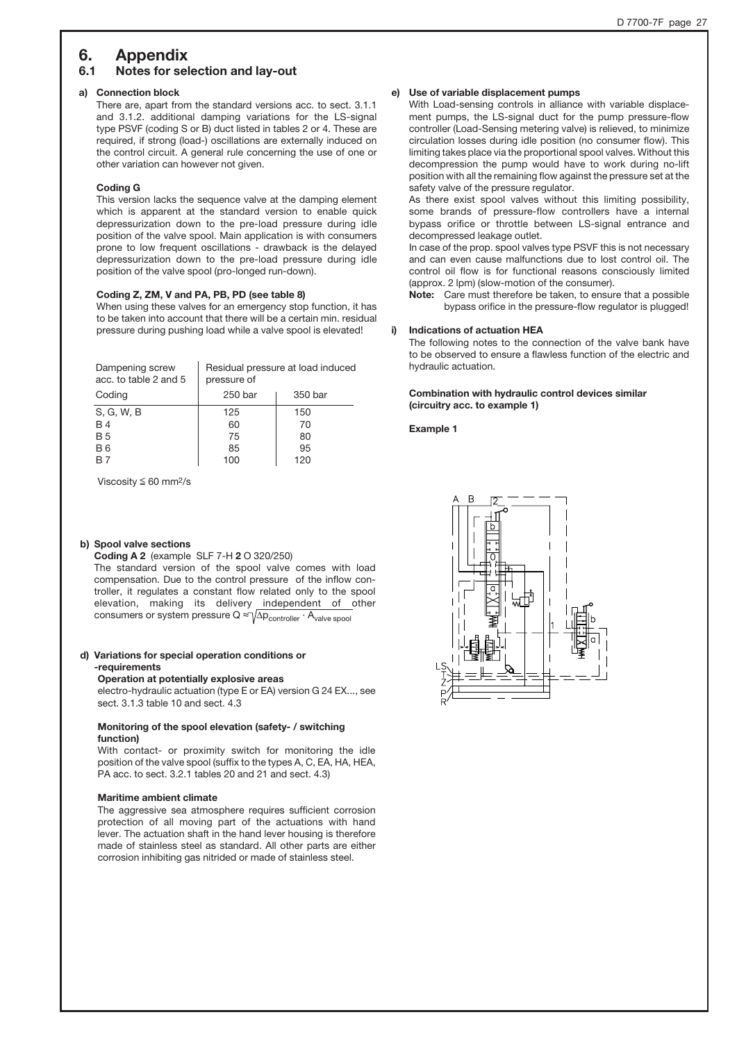### 6. Appendix

### 6.1 Notes for selection and lay-out

#### a) Connection block

There are, apart from the standard versions acc. to sect. 3.1.1 and 3.1.2. additional damping variations for the LS-signal type PSVF (coding S or B) duct listed in tables 2 or 4. These are required, if strong (load-) oscillations are externally induced on the control circuit. A general rule concerning the use of one or other variation can however not given.

#### Coding G

This version lacks the sequence valve at the damping element which is apparent at the standard version to enable quick depressurization down to the pre-load pressure during idle position of the valve spool. Main application is with consumers prone to low frequent oscillations - drawback is the delayed depressurization down to the pre-load pressure during idle position of the valve spool (pro-longed run-down).

### Coding Z, ZM, V and PA, PB, PD (see table 8)

When using these valves for an emergency stop function, it has to be taken into account that there will be a certain min. residual pressure during pushing load while a valve spool is elevated!

| Dampening screw<br>acc. to table 2 and 5 | Residual pressure at load induced<br>pressure of |         |  |
|------------------------------------------|--------------------------------------------------|---------|--|
| Coding                                   | 250 bar                                          | 350 bar |  |
| S, G, W, B                               | 125                                              | 150     |  |
| <b>B4</b>                                | 60                                               | 70      |  |
| <b>B5</b>                                | 75                                               | 80      |  |
| <b>B6</b>                                | 85                                               | 95      |  |
|                                          | 100                                              | 12C     |  |

Viscosity  $\leq 60$  mm<sup>2</sup>/s

#### b) Spool valve sections

Coding A 2 (example SLF 7-H 2 O 320/250)

The standard version of the spool valve comes with load compensation. Due to the control pressure of the inflow controller, it regulates a constant flow related only to the spool elevation, making its delivery independent of other consumers or system pressure  $Q \approx \sqrt{\Delta p_{\text{controller}} \cdot A_{\text{value spool}}}$ 

#### d) Variations for special operation conditions or -requirements

#### Operation at potentially explosive areas

electro-hydraulic actuation (type E or EA) version G 24 EX..., see sect. 3.1.3 table 10 and sect. 4.3

### Monitoring of the spool elevation (safety- / switching function)

With contact- or proximity switch for monitoring the idle position of the valve spool (suffix to the types A, C, EA, HA, HEA, PA acc. to sect. 3.2.1 tables 20 and 21 and sect. 4.3)

#### Maritime ambient climate

The aggressive sea atmosphere requires sufficient corrosion protection of all moving part of the actuations with hand lever. The actuation shaft in the hand lever housing is therefore made of stainless steel as standard. All other parts are either corrosion inhibiting gas nitrided or made of stainless steel.

### e) Use of variable displacement pumps

With Load-sensing controls in alliance with variable displacement pumps, the LS-signal duct for the pump pressure-flow controller (Load-Sensing metering valve) is relieved, to minimize circulation losses during idle position (no consumer flow). This limiting takes place via the proportional spool valves. Without this decompression the pump would have to work during no-lift position with all the remaining flow against the pressure set at the safety valve of the pressure regulator.

As there exist spool valves without this limiting possibility, some brands of pressure-flow controllers have a internal bypass orifice or throttle between LS-signal entrance and decompressed leakage outlet.

In case of the prop. spool valves type PSVF this is not necessary and can even cause malfunctions due to lost control oil. The control oil flow is for functional reasons consciously limited (approx. 2 lpm) (slow-motion of the consumer).

Note: Care must therefore be taken, to ensure that a possible bypass orifice in the pressure-flow regulator is plugged!

#### i) Indications of actuation HEA

The following notes to the connection of the valve bank have to be observed to ensure a flawless function of the electric and hydraulic actuation.

#### Combination with hydraulic control devices similar (circuitry acc. to example 1)

Example 1

![](_page_26_Picture_30.jpeg)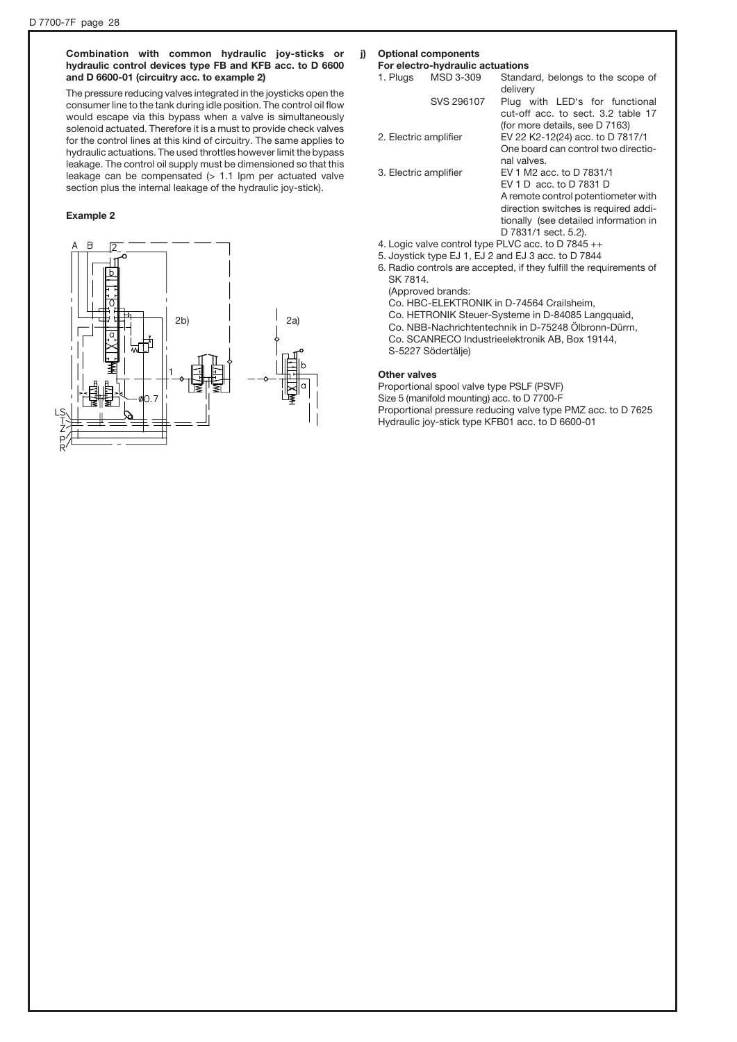### Combination with common hydraulic joy-sticks or hydraulic control devices type FB and KFB acc. to D 6600 and D 6600-01 (circuitry acc. to example 2)

The pressure reducing valves integrated in the joysticks open the consumer line to the tank during idle position. The control oil flow would escape via this bypass when a valve is simultaneously solenoid actuated. Therefore it is a must to provide check valves for the control lines at this kind of circuitry. The same applies to hydraulic actuations. The used throttles however limit the bypass leakage. The control oil supply must be dimensioned so that this leakage can be compensated  $(> 1.1$  lpm per actuated valve section plus the internal leakage of the hydraulic joy-stick).

#### Example 2

![](_page_27_Figure_4.jpeg)

### j) Optional components

**For electro-hydraulic actuations**<br>1. Plugs MSD 3-309 Standa Standard, belongs to the scope of delivery SVS 296107 Plug with LED's for functional cut-off acc. to sect. 3.2 table 17 (for more details, see D 7163) 2. Electric amplifier EV 22 K2-12(24) acc. to D 7817/1 One board can control two directional valves. 3. Electric amplifier EV 1 M2 acc. to D 7831/1 EV 1 D acc. to D 7831 D A remote control potentiometer with direction switches is required additionally (see detailed information in D 7831/1 sect. 5.2). 4. Logic valve control type PLVC acc. to D 7845 ++

- 
- 5. Joystick type EJ 1, EJ 2 and EJ 3 acc. to D 7844 6. Radio controls are accepted, if they fulfill the requirements of SK 7814.

(Approved brands:

- Co. HBC-ELEKTRONIK in D-74564 Crailsheim,
- Co. HETRONIK Steuer-Systeme in D-84085 Langquaid,
- Co. NBB-Nachrichtentechnik in D-75248 Ölbronn-Dürrn,
- Co. SCANRECO Industrieelektronik AB, Box 19144,
- S-5227 Södertälje)

#### Other valves

Proportional spool valve type PSLF (PSVF) Size 5 (manifold mounting) acc. to D 7700-F Proportional pressure reducing valve type PMZ acc. to D 7625 Hydraulic joy-stick type KFB01 acc. to D 6600-01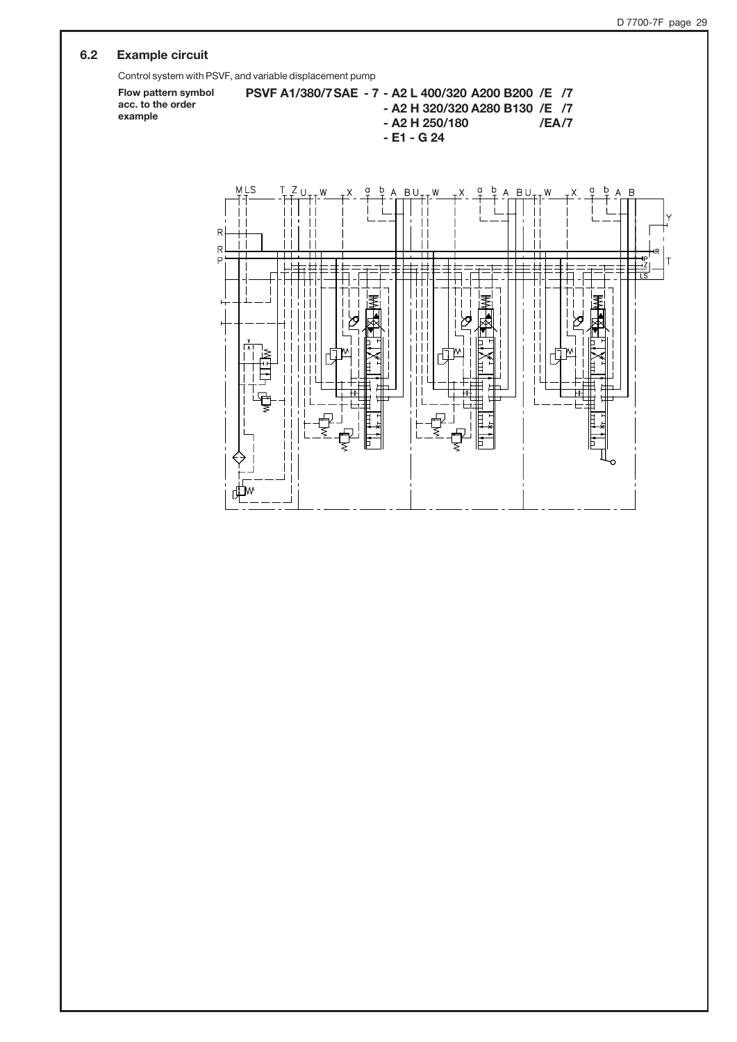### 6.2 Example circuit

Control system with PSVF, and variable displacement pump

Flow pattern symbol PSVF A1/380/7SAE - 7 - A2 L 400/320 A200 B200 /E /7 acc. to the order - A2 H 320/320 A280 B130 /E /7 example- A2 H 250/180 /EA/7 - E1 - G 24 MLS  $\mathbf b$  $\mathsf b$ b Ċ **BU**  $\mathsf{d}$ **BU** q W W W  $\overline{E}$ Δ  $\mathbf{L}$  $\mathsf{R}$  $\perp$  $\mathbf{L}$  $\mathbf{L}$  $\mathbf{L}$  $\overline{R}$ П П  $\overline{P}$  $\pm$  $\mathbf{L}$  $\mathbf{L}$ TM W W  $\mathbf{L}$  $\mathbf{L}$  $\perp$ ٦w J,